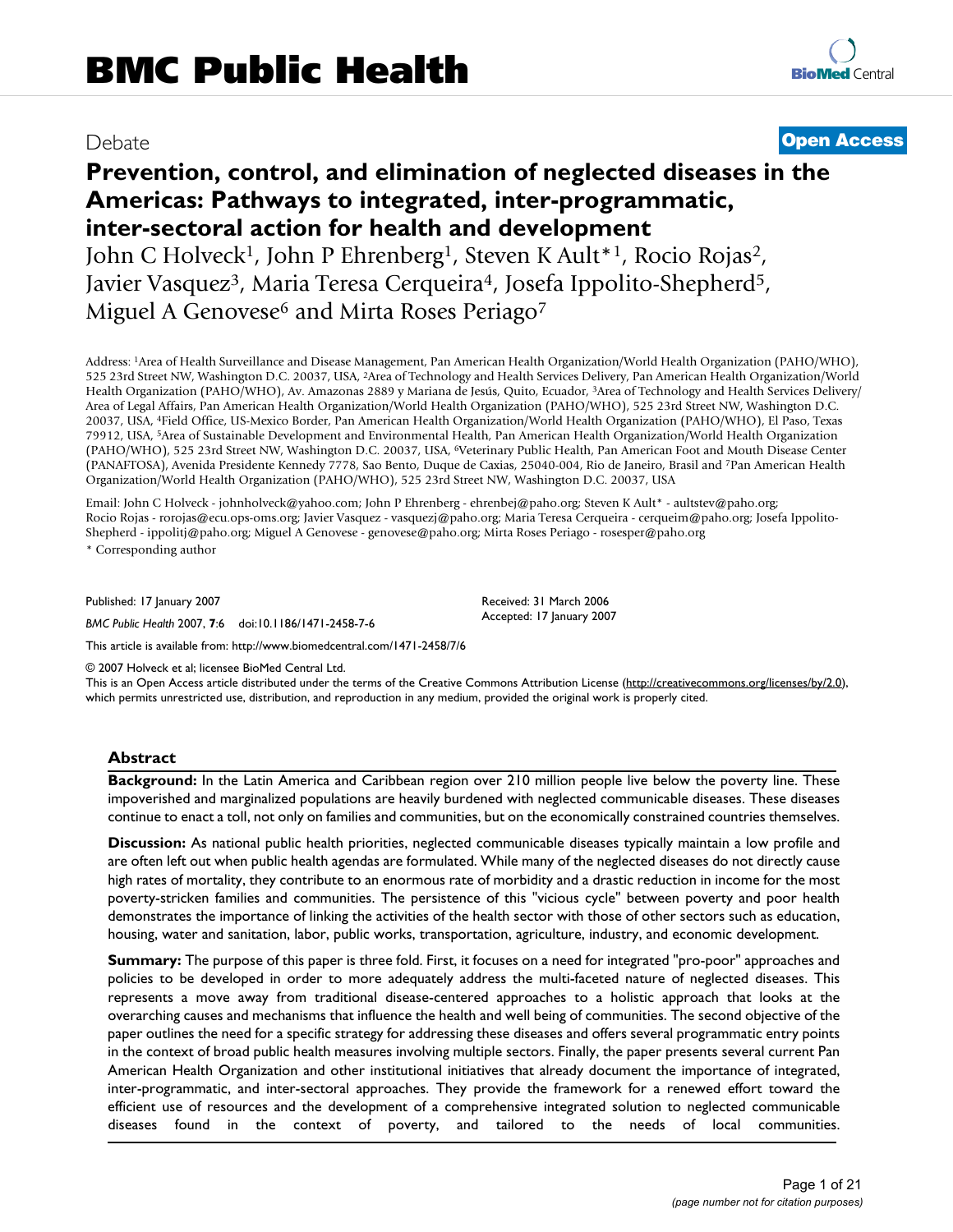# Debate **[Open Access](http://www.biomedcentral.com/info/about/charter/)**

# **Prevention, control, and elimination of neglected diseases in the Americas: Pathways to integrated, inter-programmatic, inter-sectoral action for health and development**

John C Holveck<sup>1</sup>, John P Ehrenberg<sup>1</sup>, Steven K Ault<sup>\*1</sup>, Rocio Rojas<sup>2</sup>, Javier Vasquez<sup>3</sup>, Maria Teresa Cerqueira<sup>4</sup>, Josefa Ippolito-Shepherd<sup>5</sup>, Miguel A Genovese<sup>6</sup> and Mirta Roses Periago<sup>7</sup>

Address: 1Area of Health Surveillance and Disease Management, Pan American Health Organization/World Health Organization (PAHO/WHO), 525 23rd Street NW, Washington D.C. 20037, USA, 2Area of Technology and Health Services Delivery, Pan American Health Organization/World Health Organization (PAHO/WHO), Av. Amazonas 2889 y Mariana de Jesús, Quito, Ecuador, 3Area of Technology and Health Services Delivery/ Area of Legal Affairs, Pan American Health Organization/World Health Organization (PAHO/WHO), 525 23rd Street NW, Washington D.C. 20037, USA, 4Field Office, US-Mexico Border, Pan American Health Organization/World Health Organization (PAHO/WHO), El Paso, Texas 79912, USA, 5Area of Sustainable Development and Environmental Health, Pan American Health Organization/World Health Organization (PAHO/WHO), 525 23rd Street NW, Washington D.C. 20037, USA, 6Veterinary Public Health, Pan American Foot and Mouth Disease Center (PANAFTOSA), Avenida Presidente Kennedy 7778, Sao Bento, Duque de Caxias, 25040-004, Rio de Janeiro, Brasil and 7Pan American Health Organization/World Health Organization (PAHO/WHO), 525 23rd Street NW, Washington D.C. 20037, USA

Email: John C Holveck - johnholveck@yahoo.com; John P Ehrenberg - ehrenbej@paho.org; Steven K Ault\* - aultstev@paho.org; Rocio Rojas - rorojas@ecu.ops-oms.org; Javier Vasquez - vasquezj@paho.org; Maria Teresa Cerqueira - cerqueim@paho.org; Josefa Ippolito-Shepherd - ippolitj@paho.org; Miguel A Genovese - genovese@paho.org; Mirta Roses Periago - rosesper@paho.org \* Corresponding author

Published: 17 January 2007

*BMC Public Health* 2007, **7**:6 doi:10.1186/1471-2458-7-6

[This article is available from: http://www.biomedcentral.com/1471-2458/7/6](http://www.biomedcentral.com/1471-2458/7/6)

© 2007 Holveck et al; licensee BioMed Central Ltd.

This is an Open Access article distributed under the terms of the Creative Commons Attribution License [\(http://creativecommons.org/licenses/by/2.0\)](http://creativecommons.org/licenses/by/2.0), which permits unrestricted use, distribution, and reproduction in any medium, provided the original work is properly cited.

Received: 31 March 2006 Accepted: 17 January 2007

#### **Abstract**

**Background:** In the Latin America and Caribbean region over 210 million people live below the poverty line. These impoverished and marginalized populations are heavily burdened with neglected communicable diseases. These diseases continue to enact a toll, not only on families and communities, but on the economically constrained countries themselves.

**Discussion:** As national public health priorities, neglected communicable diseases typically maintain a low profile and are often left out when public health agendas are formulated. While many of the neglected diseases do not directly cause high rates of mortality, they contribute to an enormous rate of morbidity and a drastic reduction in income for the most poverty-stricken families and communities. The persistence of this "vicious cycle" between poverty and poor health demonstrates the importance of linking the activities of the health sector with those of other sectors such as education, housing, water and sanitation, labor, public works, transportation, agriculture, industry, and economic development.

**Summary:** The purpose of this paper is three fold. First, it focuses on a need for integrated "pro-poor" approaches and policies to be developed in order to more adequately address the multi-faceted nature of neglected diseases. This represents a move away from traditional disease-centered approaches to a holistic approach that looks at the overarching causes and mechanisms that influence the health and well being of communities. The second objective of the paper outlines the need for a specific strategy for addressing these diseases and offers several programmatic entry points in the context of broad public health measures involving multiple sectors. Finally, the paper presents several current Pan American Health Organization and other institutional initiatives that already document the importance of integrated, inter-programmatic, and inter-sectoral approaches. They provide the framework for a renewed effort toward the efficient use of resources and the development of a comprehensive integrated solution to neglected communicable diseases found in the context of poverty, and tailored to the needs of local communities.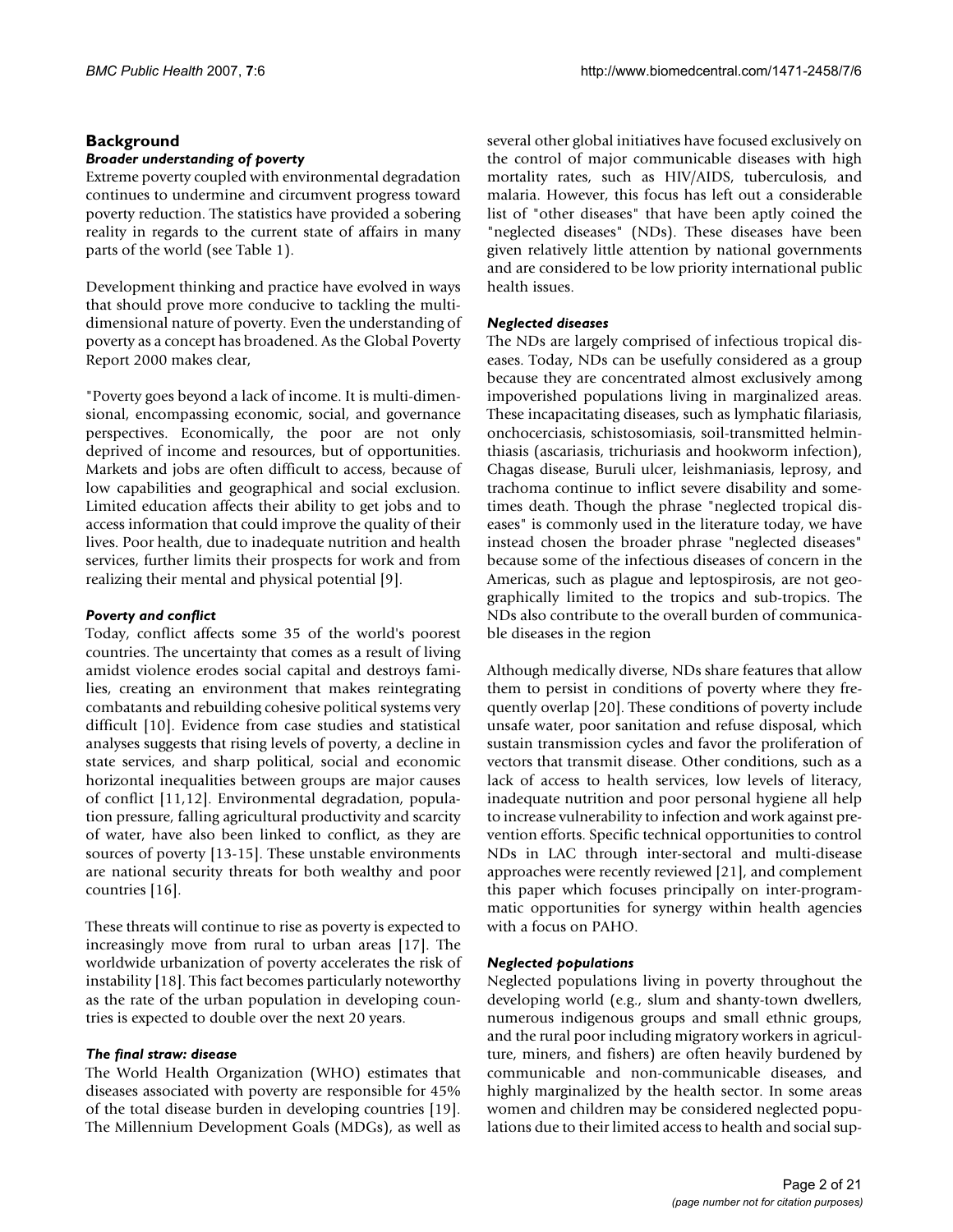# **Background**

# *Broader understanding of poverty*

Extreme poverty coupled with environmental degradation continues to undermine and circumvent progress toward poverty reduction. The statistics have provided a sobering reality in regards to the current state of affairs in many parts of the world (see Table 1).

Development thinking and practice have evolved in ways that should prove more conducive to tackling the multidimensional nature of poverty. Even the understanding of poverty as a concept has broadened. As the Global Poverty Report 2000 makes clear,

"Poverty goes beyond a lack of income. It is multi-dimensional, encompassing economic, social, and governance perspectives. Economically, the poor are not only deprived of income and resources, but of opportunities. Markets and jobs are often difficult to access, because of low capabilities and geographical and social exclusion. Limited education affects their ability to get jobs and to access information that could improve the quality of their lives. Poor health, due to inadequate nutrition and health services, further limits their prospects for work and from realizing their mental and physical potential [9].

# *Poverty and conflict*

Today, conflict affects some 35 of the world's poorest countries. The uncertainty that comes as a result of living amidst violence erodes social capital and destroys families, creating an environment that makes reintegrating combatants and rebuilding cohesive political systems very difficult [10]. Evidence from case studies and statistical analyses suggests that rising levels of poverty, a decline in state services, and sharp political, social and economic horizontal inequalities between groups are major causes of conflict [11,12]. Environmental degradation, population pressure, falling agricultural productivity and scarcity of water, have also been linked to conflict, as they are sources of poverty [13-15]. These unstable environments are national security threats for both wealthy and poor countries [16].

These threats will continue to rise as poverty is expected to increasingly move from rural to urban areas [17]. The worldwide urbanization of poverty accelerates the risk of instability [18]. This fact becomes particularly noteworthy as the rate of the urban population in developing countries is expected to double over the next 20 years.

# *The final straw: disease*

The World Health Organization (WHO) estimates that diseases associated with poverty are responsible for 45% of the total disease burden in developing countries [19]. The Millennium Development Goals (MDGs), as well as several other global initiatives have focused exclusively on the control of major communicable diseases with high mortality rates, such as HIV/AIDS, tuberculosis, and malaria. However, this focus has left out a considerable list of "other diseases" that have been aptly coined the "neglected diseases" (NDs). These diseases have been given relatively little attention by national governments and are considered to be low priority international public health issues.

# *Neglected diseases*

The NDs are largely comprised of infectious tropical diseases. Today, NDs can be usefully considered as a group because they are concentrated almost exclusively among impoverished populations living in marginalized areas. These incapacitating diseases, such as lymphatic filariasis, onchocerciasis, schistosomiasis, soil-transmitted helminthiasis (ascariasis, trichuriasis and hookworm infection), Chagas disease, Buruli ulcer, leishmaniasis, leprosy, and trachoma continue to inflict severe disability and sometimes death. Though the phrase "neglected tropical diseases" is commonly used in the literature today, we have instead chosen the broader phrase "neglected diseases" because some of the infectious diseases of concern in the Americas, such as plague and leptospirosis, are not geographically limited to the tropics and sub-tropics. The NDs also contribute to the overall burden of communicable diseases in the region

Although medically diverse, NDs share features that allow them to persist in conditions of poverty where they frequently overlap [20]. These conditions of poverty include unsafe water, poor sanitation and refuse disposal, which sustain transmission cycles and favor the proliferation of vectors that transmit disease. Other conditions, such as a lack of access to health services, low levels of literacy, inadequate nutrition and poor personal hygiene all help to increase vulnerability to infection and work against prevention efforts. Specific technical opportunities to control NDs in LAC through inter-sectoral and multi-disease approaches were recently reviewed [21], and complement this paper which focuses principally on inter-programmatic opportunities for synergy within health agencies with a focus on PAHO.

# *Neglected populations*

Neglected populations living in poverty throughout the developing world (e.g., slum and shanty-town dwellers, numerous indigenous groups and small ethnic groups, and the rural poor including migratory workers in agriculture, miners, and fishers) are often heavily burdened by communicable and non-communicable diseases, and highly marginalized by the health sector. In some areas women and children may be considered neglected populations due to their limited access to health and social sup-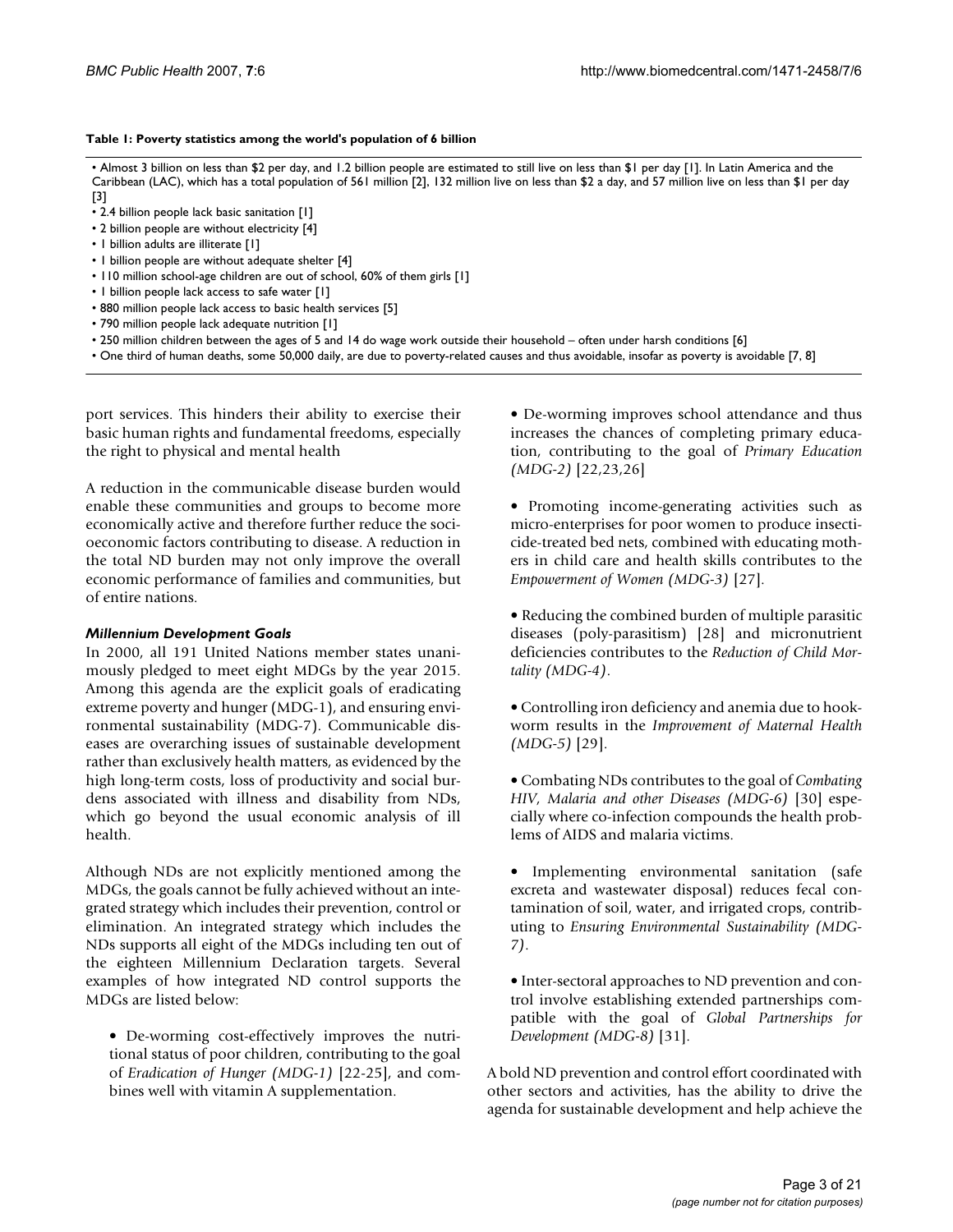#### **Table 1: Poverty statistics among the world's population of 6 billion**

• Almost 3 billion on less than \$2 per day, and 1.2 billion people are estimated to still live on less than \$1 per day [1]. In Latin America and the Caribbean (LAC), which has a total population of 561 million [2], 132 million live on less than \$2 a day, and 57 million live on less than \$1 per day [3]

- 2.4 billion people lack basic sanitation [1]
- 2 billion people are without electricity [4]
- 1 billion adults are illiterate [1]
- 1 billion people are without adequate shelter [4]
- 110 million school-age children are out of school, 60% of them girls [1]
- 1 billion people lack access to safe water [1]
- 880 million people lack access to basic health services [5]
- 790 million people lack adequate nutrition [1]
- 250 million children between the ages of 5 and 14 do wage work outside their household often under harsh conditions [6]
- One third of human deaths, some 50,000 daily, are due to poverty-related causes and thus avoidable, insofar as poverty is avoidable [7, 8]

port services. This hinders their ability to exercise their basic human rights and fundamental freedoms, especially the right to physical and mental health

A reduction in the communicable disease burden would enable these communities and groups to become more economically active and therefore further reduce the socioeconomic factors contributing to disease. A reduction in the total ND burden may not only improve the overall economic performance of families and communities, but of entire nations.

#### *Millennium Development Goals*

In 2000, all 191 United Nations member states unanimously pledged to meet eight MDGs by the year 2015. Among this agenda are the explicit goals of eradicating extreme poverty and hunger (MDG-1), and ensuring environmental sustainability (MDG-7). Communicable diseases are overarching issues of sustainable development rather than exclusively health matters, as evidenced by the high long-term costs, loss of productivity and social burdens associated with illness and disability from NDs, which go beyond the usual economic analysis of ill health.

Although NDs are not explicitly mentioned among the MDGs, the goals cannot be fully achieved without an integrated strategy which includes their prevention, control or elimination. An integrated strategy which includes the NDs supports all eight of the MDGs including ten out of the eighteen Millennium Declaration targets. Several examples of how integrated ND control supports the MDGs are listed below:

• De-worming cost-effectively improves the nutritional status of poor children, contributing to the goal of *Eradication of Hunger (MDG-1)* [22-25], and combines well with vitamin A supplementation.

• De-worming improves school attendance and thus increases the chances of completing primary education, contributing to the goal of *Primary Education (MDG-2)* [22,23[,26](#page-18-0)]

• Promoting income-generating activities such as micro-enterprises for poor women to produce insecticide-treated bed nets, combined with educating mothers in child care and health skills contributes to the *Empowerment of Women (MDG-3)* [27].

• Reducing the combined burden of multiple parasitic diseases (poly-parasitism) [28] and micronutrient deficiencies contributes to the *Reduction of Child Mortality (MDG-4)*.

• Controlling iron deficiency and anemia due to hookworm results in the *Improvement of Maternal Health (MDG-5)* [29].

• Combating NDs contributes to the goal of *Combating HIV, Malaria and other Diseases (MDG-6)* [30] especially where co-infection compounds the health problems of AIDS and malaria victims.

• Implementing environmental sanitation (safe excreta and wastewater disposal) reduces fecal contamination of soil, water, and irrigated crops, contributing to *Ensuring Environmental Sustainability (MDG-7)*.

• Inter-sectoral approaches to ND prevention and control involve establishing extended partnerships compatible with the goal of *Global Partnerships for Development (MDG-8)* [31].

A bold ND prevention and control effort coordinated with other sectors and activities, has the ability to drive the agenda for sustainable development and help achieve the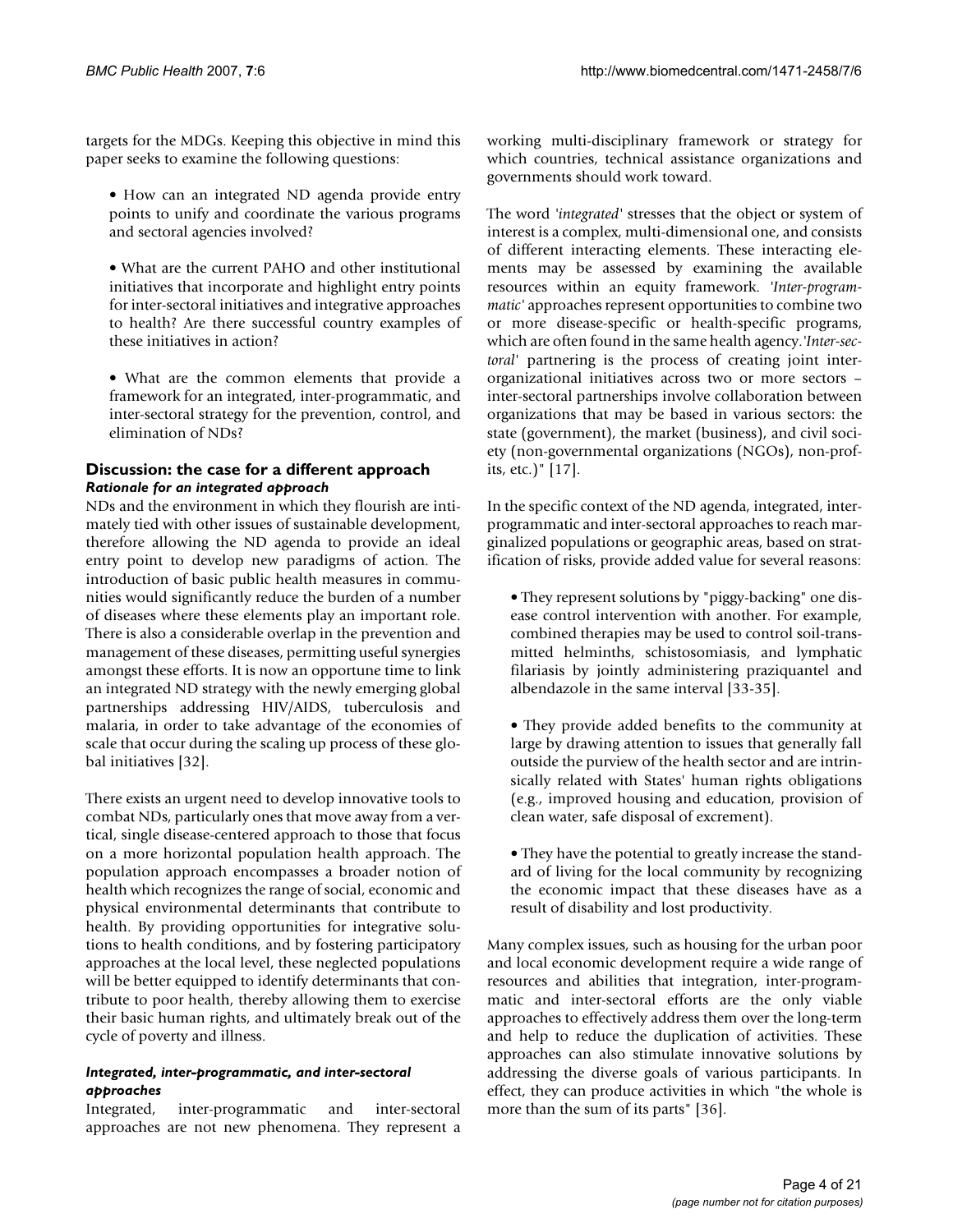targets for the MDGs. Keeping this objective in mind this paper seeks to examine the following questions:

- How can an integrated ND agenda provide entry points to unify and coordinate the various programs and sectoral agencies involved?
- What are the current PAHO and other institutional initiatives that incorporate and highlight entry points for inter-sectoral initiatives and integrative approaches to health? Are there successful country examples of these initiatives in action?
- What are the common elements that provide a framework for an integrated, inter-programmatic, and inter-sectoral strategy for the prevention, control, and elimination of NDs?

# **Discussion: the case for a different approach** *Rationale for an integrated approach*

NDs and the environment in which they flourish are intimately tied with other issues of sustainable development, therefore allowing the ND agenda to provide an ideal entry point to develop new paradigms of action. The introduction of basic public health measures in communities would significantly reduce the burden of a number of diseases where these elements play an important role. There is also a considerable overlap in the prevention and management of these diseases, permitting useful synergies amongst these efforts. It is now an opportune time to link an integrated ND strategy with the newly emerging global partnerships addressing HIV/AIDS, tuberculosis and malaria, in order to take advantage of the economies of scale that occur during the scaling up process of these global initiatives [32].

There exists an urgent need to develop innovative tools to combat NDs, particularly ones that move away from a vertical, single disease-centered approach to those that focus on a more horizontal population health approach. The population approach encompasses a broader notion of health which recognizes the range of social, economic and physical environmental determinants that contribute to health. By providing opportunities for integrative solutions to health conditions, and by fostering participatory approaches at the local level, these neglected populations will be better equipped to identify determinants that contribute to poor health, thereby allowing them to exercise their basic human rights, and ultimately break out of the cycle of poverty and illness.

#### *Integrated, inter-programmatic, and inter-sectoral approaches*

Integrated, inter-programmatic and inter-sectoral approaches are not new phenomena. They represent a

working multi-disciplinary framework or strategy for which countries, technical assistance organizations and governments should work toward.

The word *'integrated'* stresses that the object or system of interest is a complex, multi-dimensional one, and consists of different interacting elements. These interacting elements may be assessed by examining the available resources within an equity framework. *'Inter-programmatic'* approaches represent opportunities to combine two or more disease-specific or health-specific programs, which are often found in the same health agency.*'Inter-sectoral'* partnering is the process of creating joint interorganizational initiatives across two or more sectors – inter-sectoral partnerships involve collaboration between organizations that may be based in various sectors: the state (government), the market (business), and civil society (non-governmental organizations (NGOs), non-profits, etc.)" [17].

In the specific context of the ND agenda, integrated, interprogrammatic and inter-sectoral approaches to reach marginalized populations or geographic areas, based on stratification of risks, provide added value for several reasons:

- They represent solutions by "piggy-backing" one disease control intervention with another. For example, combined therapies may be used to control soil-transmitted helminths, schistosomiasis, and lymphatic filariasis by jointly administering praziquantel and albendazole in the same interval [33-35].
- They provide added benefits to the community at large by drawing attention to issues that generally fall outside the purview of the health sector and are intrinsically related with States' human rights obligations (e.g., improved housing and education, provision of clean water, safe disposal of excrement).
- They have the potential to greatly increase the standard of living for the local community by recognizing the economic impact that these diseases have as a result of disability and lost productivity.

Many complex issues, such as housing for the urban poor and local economic development require a wide range of resources and abilities that integration, inter-programmatic and inter-sectoral efforts are the only viable approaches to effectively address them over the long-term and help to reduce the duplication of activities. These approaches can also stimulate innovative solutions by addressing the diverse goals of various participants. In effect, they can produce activities in which "the whole is more than the sum of its parts" [36].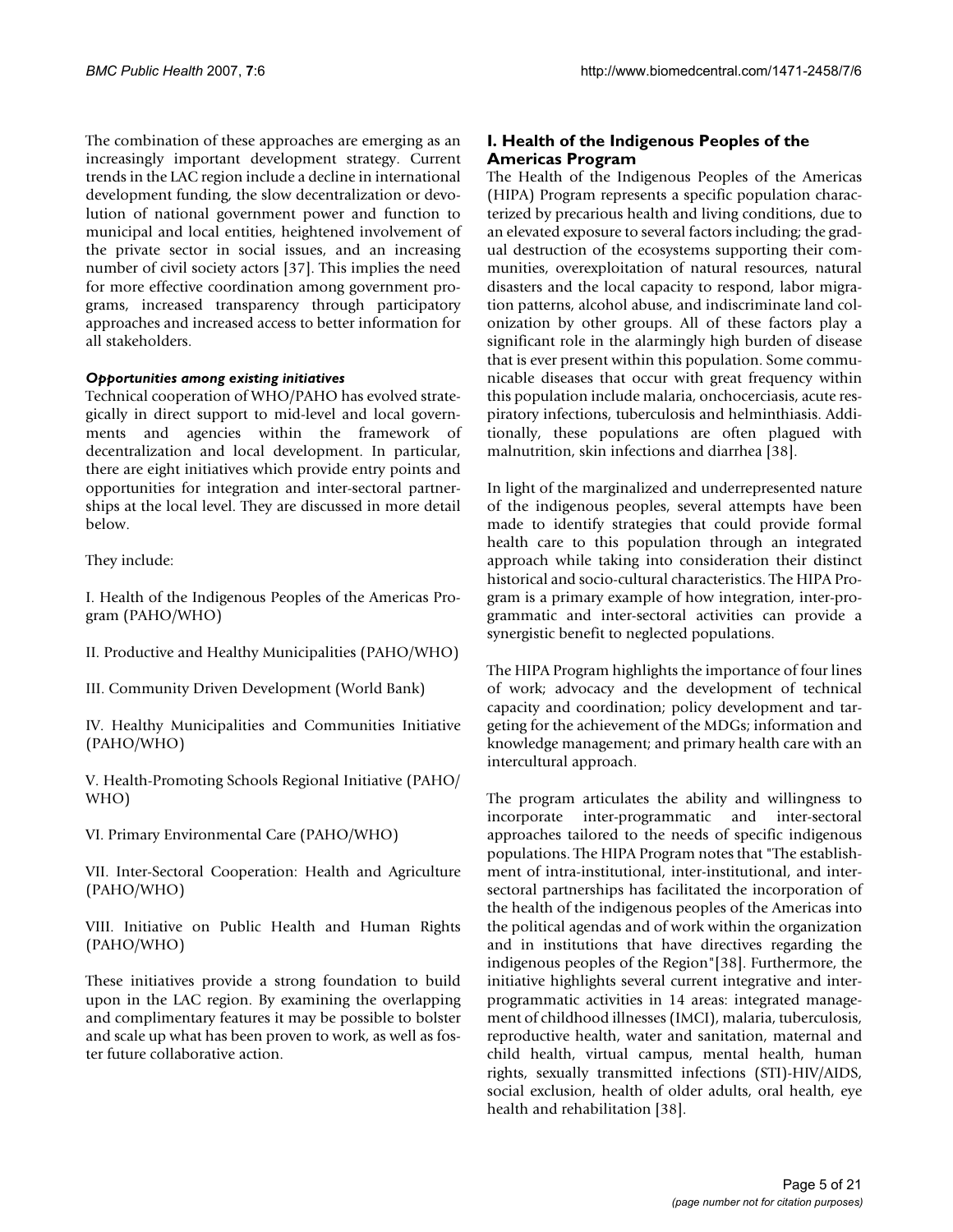The combination of these approaches are emerging as an increasingly important development strategy. Current trends in the LAC region include a decline in international development funding, the slow decentralization or devolution of national government power and function to municipal and local entities, heightened involvement of the private sector in social issues, and an increasing number of civil society actors [37]. This implies the need for more effective coordination among government programs, increased transparency through participatory approaches and increased access to better information for all stakeholders.

#### *Opportunities among existing initiatives*

Technical cooperation of WHO/PAHO has evolved strategically in direct support to mid-level and local governments and agencies within the framework of decentralization and local development. In particular, there are eight initiatives which provide entry points and opportunities for integration and inter-sectoral partnerships at the local level. They are discussed in more detail below.

They include:

I. Health of the Indigenous Peoples of the Americas Program (PAHO/WHO)

II. Productive and Healthy Municipalities (PAHO/WHO)

III. Community Driven Development (World Bank)

IV. Healthy Municipalities and Communities Initiative (PAHO/WHO)

V. Health-Promoting Schools Regional Initiative (PAHO/ WHO)

VI. Primary Environmental Care (PAHO/WHO)

VII. Inter-Sectoral Cooperation: Health and Agriculture (PAHO/WHO)

VIII. Initiative on Public Health and Human Rights (PAHO/WHO)

These initiatives provide a strong foundation to build upon in the LAC region. By examining the overlapping and complimentary features it may be possible to bolster and scale up what has been proven to work, as well as foster future collaborative action.

# **I. Health of the Indigenous Peoples of the Americas Program**

The Health of the Indigenous Peoples of the Americas (HIPA) Program represents a specific population characterized by precarious health and living conditions, due to an elevated exposure to several factors including; the gradual destruction of the ecosystems supporting their communities, overexploitation of natural resources, natural disasters and the local capacity to respond, labor migration patterns, alcohol abuse, and indiscriminate land colonization by other groups. All of these factors play a significant role in the alarmingly high burden of disease that is ever present within this population. Some communicable diseases that occur with great frequency within this population include malaria, onchocerciasis, acute respiratory infections, tuberculosis and helminthiasis. Additionally, these populations are often plagued with malnutrition, skin infections and diarrhea [38].

In light of the marginalized and underrepresented nature of the indigenous peoples, several attempts have been made to identify strategies that could provide formal health care to this population through an integrated approach while taking into consideration their distinct historical and socio-cultural characteristics. The HIPA Program is a primary example of how integration, inter-programmatic and inter-sectoral activities can provide a synergistic benefit to neglected populations.

The HIPA Program highlights the importance of four lines of work; advocacy and the development of technical capacity and coordination; policy development and targeting for the achievement of the MDGs; information and knowledge management; and primary health care with an intercultural approach.

The program articulates the ability and willingness to incorporate inter-programmatic and inter-sectoral approaches tailored to the needs of specific indigenous populations. The HIPA Program notes that "The establishment of intra-institutional, inter-institutional, and intersectoral partnerships has facilitated the incorporation of the health of the indigenous peoples of the Americas into the political agendas and of work within the organization and in institutions that have directives regarding the indigenous peoples of the Region"[38]. Furthermore, the initiative highlights several current integrative and interprogrammatic activities in 14 areas: integrated management of childhood illnesses (IMCI), malaria, tuberculosis, reproductive health, water and sanitation, maternal and child health, virtual campus, mental health, human rights, sexually transmitted infections (STI)-HIV/AIDS, social exclusion, health of older adults, oral health, eye health and rehabilitation [38].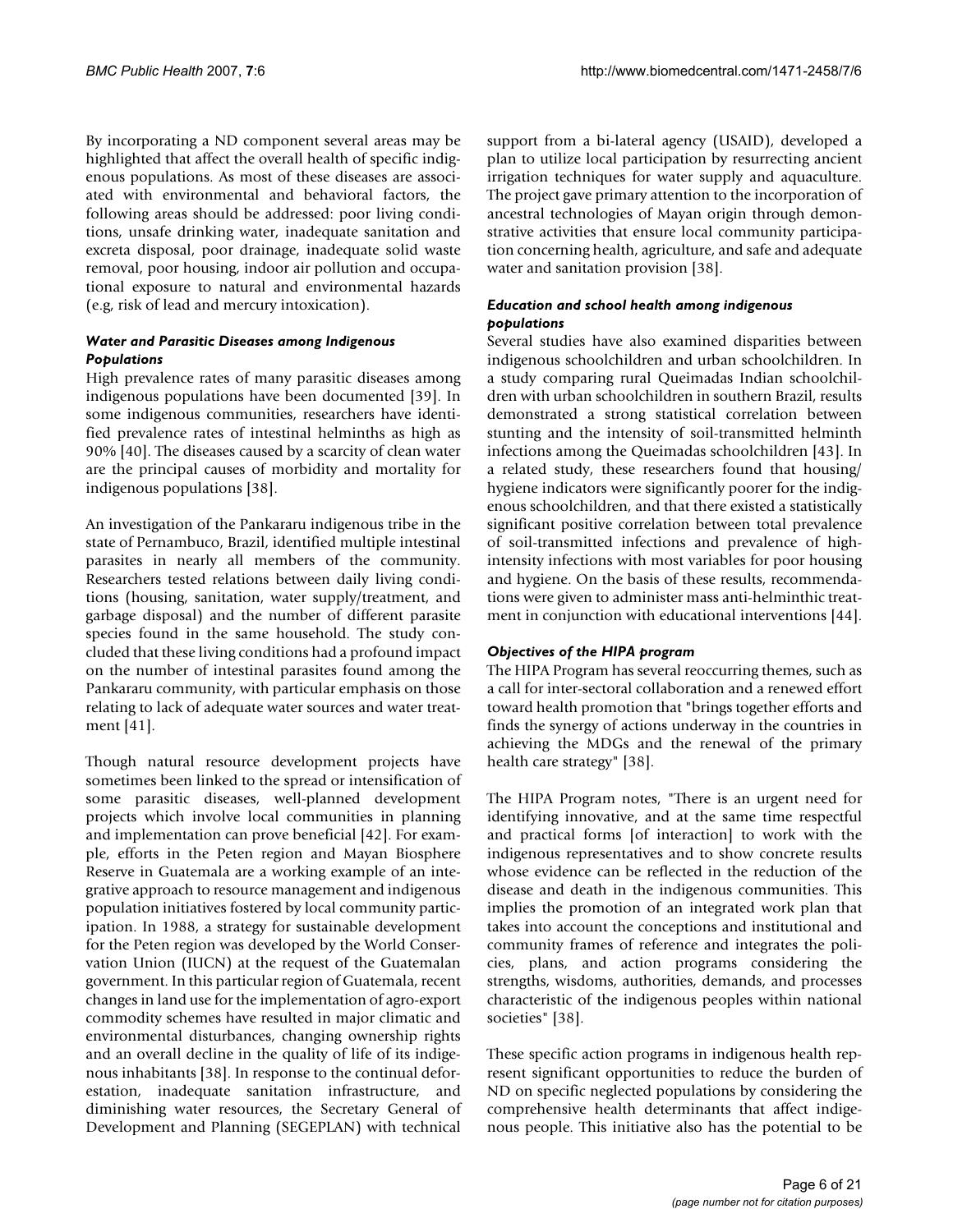By incorporating a ND component several areas may be highlighted that affect the overall health of specific indigenous populations. As most of these diseases are associated with environmental and behavioral factors, the following areas should be addressed: poor living conditions, unsafe drinking water, inadequate sanitation and excreta disposal, poor drainage, inadequate solid waste removal, poor housing, indoor air pollution and occupational exposure to natural and environmental hazards (e.g, risk of lead and mercury intoxication).

# *Water and Parasitic Diseases among Indigenous Populations*

High prevalence rates of many parasitic diseases among indigenous populations have been documented [39]. In some indigenous communities, researchers have identified prevalence rates of intestinal helminths as high as 90% [40]. The diseases caused by a scarcity of clean water are the principal causes of morbidity and mortality for indigenous populations [38].

An investigation of the Pankararu indigenous tribe in the state of Pernambuco, Brazil, identified multiple intestinal parasites in nearly all members of the community. Researchers tested relations between daily living conditions (housing, sanitation, water supply/treatment, and garbage disposal) and the number of different parasite species found in the same household. The study concluded that these living conditions had a profound impact on the number of intestinal parasites found among the Pankararu community, with particular emphasis on those relating to lack of adequate water sources and water treatment [41].

Though natural resource development projects have sometimes been linked to the spread or intensification of some parasitic diseases, well-planned development projects which involve local communities in planning and implementation can prove beneficial [42]. For example, efforts in the Peten region and Mayan Biosphere Reserve in Guatemala are a working example of an integrative approach to resource management and indigenous population initiatives fostered by local community participation. In 1988, a strategy for sustainable development for the Peten region was developed by the World Conservation Union (IUCN) at the request of the Guatemalan government. In this particular region of Guatemala, recent changes in land use for the implementation of agro-export commodity schemes have resulted in major climatic and environmental disturbances, changing ownership rights and an overall decline in the quality of life of its indigenous inhabitants [38]. In response to the continual deforestation, inadequate sanitation infrastructure, and diminishing water resources, the Secretary General of Development and Planning (SEGEPLAN) with technical

support from a bi-lateral agency (USAID), developed a plan to utilize local participation by resurrecting ancient irrigation techniques for water supply and aquaculture. The project gave primary attention to the incorporation of ancestral technologies of Mayan origin through demonstrative activities that ensure local community participation concerning health, agriculture, and safe and adequate water and sanitation provision [38].

# *Education and school health among indigenous populations*

Several studies have also examined disparities between indigenous schoolchildren and urban schoolchildren. In a study comparing rural Queimadas Indian schoolchildren with urban schoolchildren in southern Brazil, results demonstrated a strong statistical correlation between stunting and the intensity of soil-transmitted helminth infections among the Queimadas schoolchildren [43]. In a related study, these researchers found that housing/ hygiene indicators were significantly poorer for the indigenous schoolchildren, and that there existed a statistically significant positive correlation between total prevalence of soil-transmitted infections and prevalence of highintensity infections with most variables for poor housing and hygiene. On the basis of these results, recommendations were given to administer mass anti-helminthic treatment in conjunction with educational interventions [44].

# *Objectives of the HIPA program*

The HIPA Program has several reoccurring themes, such as a call for inter-sectoral collaboration and a renewed effort toward health promotion that "brings together efforts and finds the synergy of actions underway in the countries in achieving the MDGs and the renewal of the primary health care strategy" [38].

The HIPA Program notes, "There is an urgent need for identifying innovative, and at the same time respectful and practical forms [of interaction] to work with the indigenous representatives and to show concrete results whose evidence can be reflected in the reduction of the disease and death in the indigenous communities. This implies the promotion of an integrated work plan that takes into account the conceptions and institutional and community frames of reference and integrates the policies, plans, and action programs considering the strengths, wisdoms, authorities, demands, and processes characteristic of the indigenous peoples within national societies" [38].

These specific action programs in indigenous health represent significant opportunities to reduce the burden of ND on specific neglected populations by considering the comprehensive health determinants that affect indigenous people. This initiative also has the potential to be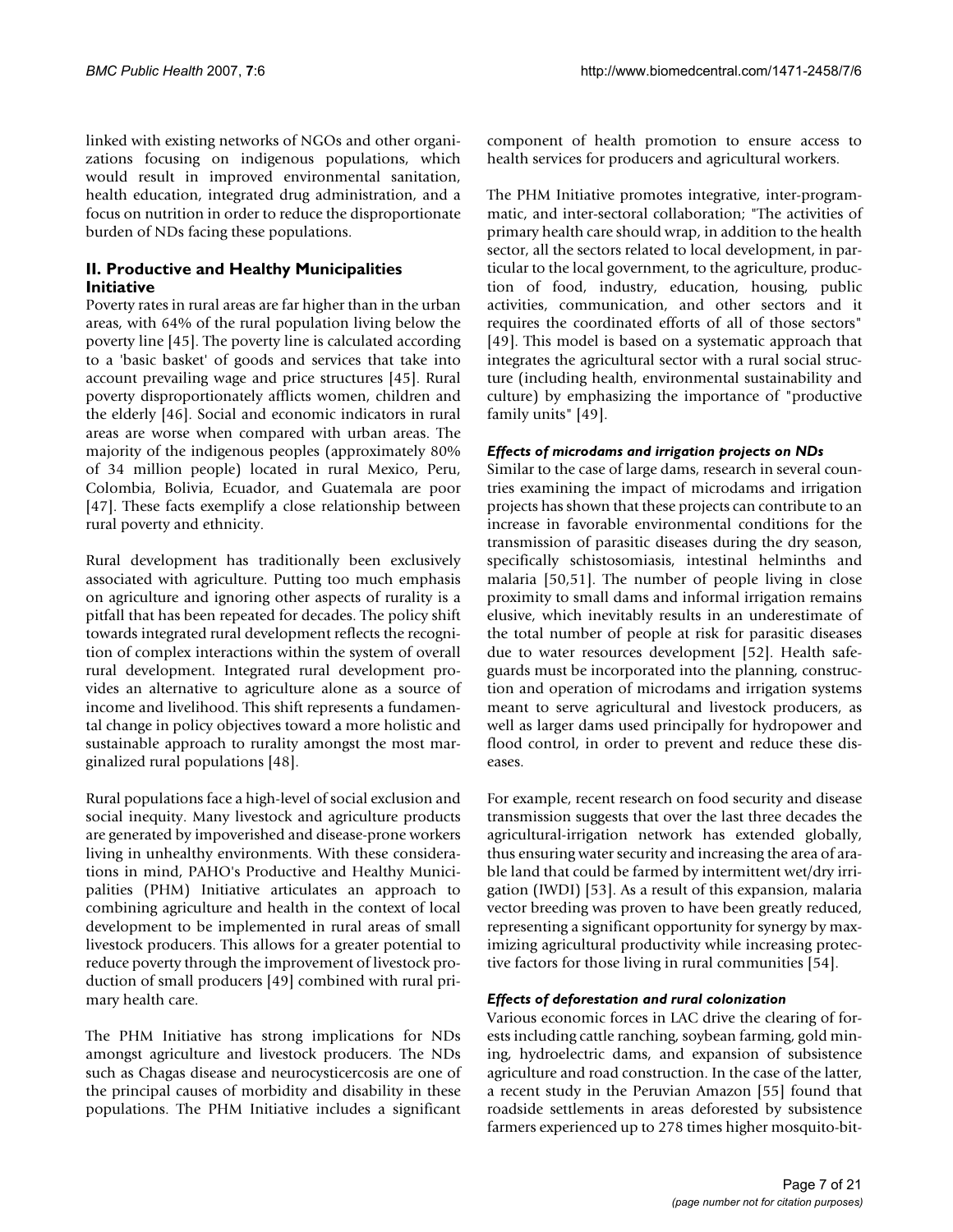linked with existing networks of NGOs and other organizations focusing on indigenous populations, which would result in improved environmental sanitation, health education, integrated drug administration, and a focus on nutrition in order to reduce the disproportionate burden of NDs facing these populations.

# **II. Productive and Healthy Municipalities Initiative**

Poverty rates in rural areas are far higher than in the urban areas, with 64% of the rural population living below the poverty line [45]. The poverty line is calculated according to a 'basic basket' of goods and services that take into account prevailing wage and price structures [45]. Rural poverty disproportionately afflicts women, children and the elderly [46]. Social and economic indicators in rural areas are worse when compared with urban areas. The majority of the indigenous peoples (approximately 80% of 34 million people) located in rural Mexico, Peru, Colombia, Bolivia, Ecuador, and Guatemala are poor [47]. These facts exemplify a close relationship between rural poverty and ethnicity.

Rural development has traditionally been exclusively associated with agriculture. Putting too much emphasis on agriculture and ignoring other aspects of rurality is a pitfall that has been repeated for decades. The policy shift towards integrated rural development reflects the recognition of complex interactions within the system of overall rural development. Integrated rural development provides an alternative to agriculture alone as a source of income and livelihood. This shift represents a fundamental change in policy objectives toward a more holistic and sustainable approach to rurality amongst the most marginalized rural populations [48].

Rural populations face a high-level of social exclusion and social inequity. Many livestock and agriculture products are generated by impoverished and disease-prone workers living in unhealthy environments. With these considerations in mind, PAHO's Productive and Healthy Municipalities (PHM) Initiative articulates an approach to combining agriculture and health in the context of local development to be implemented in rural areas of small livestock producers. This allows for a greater potential to reduce poverty through the improvement of livestock production of small producers [49] combined with rural primary health care.

The PHM Initiative has strong implications for NDs amongst agriculture and livestock producers. The NDs such as Chagas disease and neurocysticercosis are one of the principal causes of morbidity and disability in these populations. The PHM Initiative includes a significant component of health promotion to ensure access to health services for producers and agricultural workers.

The PHM Initiative promotes integrative, inter-programmatic, and inter-sectoral collaboration; "The activities of primary health care should wrap, in addition to the health sector, all the sectors related to local development, in particular to the local government, to the agriculture, production of food, industry, education, housing, public activities, communication, and other sectors and it requires the coordinated efforts of all of those sectors" [49]. This model is based on a systematic approach that integrates the agricultural sector with a rural social structure (including health, environmental sustainability and culture) by emphasizing the importance of "productive family units" [49].

# *Effects of microdams and irrigation projects on NDs*

Similar to the case of large dams, research in several countries examining the impact of microdams and irrigation projects has shown that these projects can contribute to an increase in favorable environmental conditions for the transmission of parasitic diseases during the dry season, specifically schistosomiasis, intestinal helminths and malaria [50,51]. The number of people living in close proximity to small dams and informal irrigation remains elusive, which inevitably results in an underestimate of the total number of people at risk for parasitic diseases due to water resources development [52]. Health safeguards must be incorporated into the planning, construction and operation of microdams and irrigation systems meant to serve agricultural and livestock producers, as well as larger dams used principally for hydropower and flood control, in order to prevent and reduce these diseases.

For example, recent research on food security and disease transmission suggests that over the last three decades the agricultural-irrigation network has extended globally, thus ensuring water security and increasing the area of arable land that could be farmed by intermittent wet/dry irrigation (IWDI) [53]. As a result of this expansion, malaria vector breeding was proven to have been greatly reduced, representing a significant opportunity for synergy by maximizing agricultural productivity while increasing protective factors for those living in rural communities [54].

#### *Effects of deforestation and rural colonization*

Various economic forces in LAC drive the clearing of forests including cattle ranching, soybean farming, gold mining, hydroelectric dams, and expansion of subsistence agriculture and road construction. In the case of the latter, a recent study in the Peruvian Amazon [\[55\]](#page-19-0) found that roadside settlements in areas deforested by subsistence farmers experienced up to 278 times higher mosquito-bit-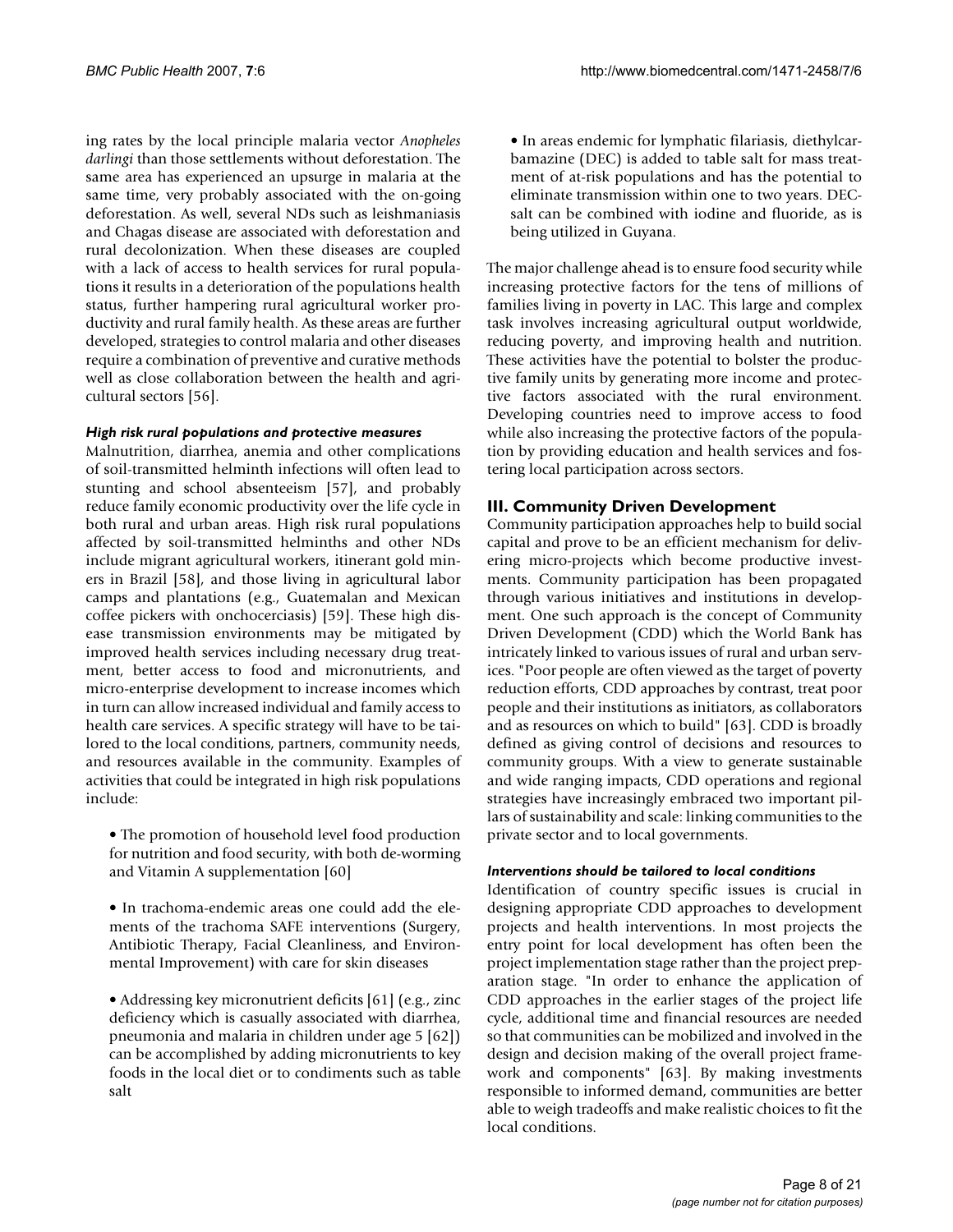ing rates by the local principle malaria vector *Anopheles darlingi* than those settlements without deforestation. The same area has experienced an upsurge in malaria at the same time, very probably associated with the on-going deforestation. As well, several NDs such as leishmaniasis and Chagas disease are associated with deforestation and rural decolonization. When these diseases are coupled with a lack of access to health services for rural populations it results in a deterioration of the populations health status, further hampering rural agricultural worker productivity and rural family health. As these areas are further developed, strategies to control malaria and other diseases require a combination of preventive and curative methods well as close collaboration between the health and agricultural sectors [56].

# *High risk rural populations and protective measures*

Malnutrition, diarrhea, anemia and other complications of soil-transmitted helminth infections will often lead to stunting and school absenteeism [57], and probably reduce family economic productivity over the life cycle in both rural and urban areas. High risk rural populations affected by soil-transmitted helminths and other NDs include migrant agricultural workers, itinerant gold miners in Brazil [58], and those living in agricultural labor camps and plantations (e.g., Guatemalan and Mexican coffee pickers with onchocerciasis) [59]. These high disease transmission environments may be mitigated by improved health services including necessary drug treatment, better access to food and micronutrients, and micro-enterprise development to increase incomes which in turn can allow increased individual and family access to health care services. A specific strategy will have to be tailored to the local conditions, partners, community needs, and resources available in the community. Examples of activities that could be integrated in high risk populations include:

- The promotion of household level food production for nutrition and food security, with both de-worming and Vitamin A supplementation [60]
- In trachoma-endemic areas one could add the elements of the trachoma SAFE interventions (Surgery, Antibiotic Therapy, Facial Cleanliness, and Environmental Improvement) with care for skin diseases

• Addressing key micronutrient deficits [61] (e.g., zinc deficiency which is casually associated with diarrhea, pneumonia and malaria in children under age 5 [62]) can be accomplished by adding micronutrients to key foods in the local diet or to condiments such as table salt

• In areas endemic for lymphatic filariasis, diethylcarbamazine (DEC) is added to table salt for mass treatment of at-risk populations and has the potential to eliminate transmission within one to two years. DECsalt can be combined with iodine and fluoride, as is being utilized in Guyana.

The major challenge ahead is to ensure food security while increasing protective factors for the tens of millions of families living in poverty in LAC. This large and complex task involves increasing agricultural output worldwide, reducing poverty, and improving health and nutrition. These activities have the potential to bolster the productive family units by generating more income and protective factors associated with the rural environment. Developing countries need to improve access to food while also increasing the protective factors of the population by providing education and health services and fostering local participation across sectors.

# **III. Community Driven Development**

Community participation approaches help to build social capital and prove to be an efficient mechanism for delivering micro-projects which become productive investments. Community participation has been propagated through various initiatives and institutions in development. One such approach is the concept of Community Driven Development (CDD) which the World Bank has intricately linked to various issues of rural and urban services. "Poor people are often viewed as the target of poverty reduction efforts, CDD approaches by contrast, treat poor people and their institutions as initiators, as collaborators and as resources on which to build" [63]. CDD is broadly defined as giving control of decisions and resources to community groups. With a view to generate sustainable and wide ranging impacts, CDD operations and regional strategies have increasingly embraced two important pillars of sustainability and scale: linking communities to the private sector and to local governments.

# *Interventions should be tailored to local conditions*

Identification of country specific issues is crucial in designing appropriate CDD approaches to development projects and health interventions. In most projects the entry point for local development has often been the project implementation stage rather than the project preparation stage. "In order to enhance the application of CDD approaches in the earlier stages of the project life cycle, additional time and financial resources are needed so that communities can be mobilized and involved in the design and decision making of the overall project framework and components" [63]. By making investments responsible to informed demand, communities are better able to weigh tradeoffs and make realistic choices to fit the local conditions.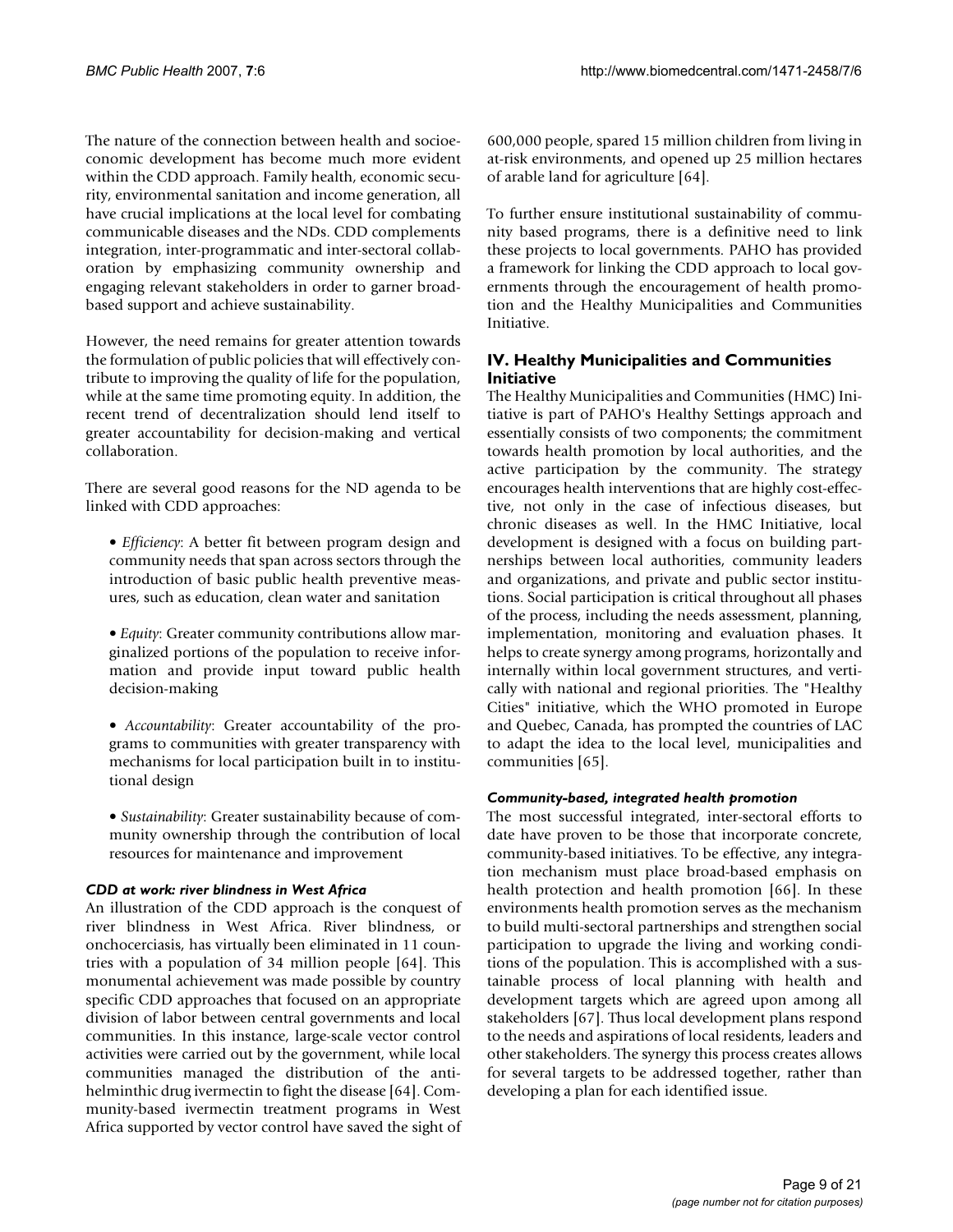The nature of the connection between health and socioeconomic development has become much more evident within the CDD approach. Family health, economic security, environmental sanitation and income generation, all have crucial implications at the local level for combating communicable diseases and the NDs. CDD complements integration, inter-programmatic and inter-sectoral collaboration by emphasizing community ownership and engaging relevant stakeholders in order to garner broadbased support and achieve sustainability.

However, the need remains for greater attention towards the formulation of public policies that will effectively contribute to improving the quality of life for the population, while at the same time promoting equity. In addition, the recent trend of decentralization should lend itself to greater accountability for decision-making and vertical collaboration.

There are several good reasons for the ND agenda to be linked with CDD approaches:

- *Efficiency*: A better fit between program design and community needs that span across sectors through the introduction of basic public health preventive measures, such as education, clean water and sanitation
- *Equity*: Greater community contributions allow marginalized portions of the population to receive information and provide input toward public health decision-making
- *Accountability*: Greater accountability of the programs to communities with greater transparency with mechanisms for local participation built in to institutional design
- *Sustainability*: Greater sustainability because of community ownership through the contribution of local resources for maintenance and improvement

#### *CDD at work: river blindness in West Africa*

An illustration of the CDD approach is the conquest of river blindness in West Africa. River blindness, or onchocerciasis, has virtually been eliminated in 11 countries with a population of 34 million people [64]. This monumental achievement was made possible by country specific CDD approaches that focused on an appropriate division of labor between central governments and local communities. In this instance, large-scale vector control activities were carried out by the government, while local communities managed the distribution of the antihelminthic drug ivermectin to fight the disease [64]. Community-based ivermectin treatment programs in West Africa supported by vector control have saved the sight of 600,000 people, spared 15 million children from living in at-risk environments, and opened up 25 million hectares of arable land for agriculture [64].

To further ensure institutional sustainability of community based programs, there is a definitive need to link these projects to local governments. PAHO has provided a framework for linking the CDD approach to local governments through the encouragement of health promotion and the Healthy Municipalities and Communities Initiative.

# **IV. Healthy Municipalities and Communities Initiative**

The Healthy Municipalities and Communities (HMC) Initiative is part of PAHO's Healthy Settings approach and essentially consists of two components; the commitment towards health promotion by local authorities, and the active participation by the community. The strategy encourages health interventions that are highly cost-effective, not only in the case of infectious diseases, but chronic diseases as well. In the HMC Initiative, local development is designed with a focus on building partnerships between local authorities, community leaders and organizations, and private and public sector institutions. Social participation is critical throughout all phases of the process, including the needs assessment, planning, implementation, monitoring and evaluation phases. It helps to create synergy among programs, horizontally and internally within local government structures, and vertically with national and regional priorities. The "Healthy Cities" initiative, which the WHO promoted in Europe and Quebec, Canada, has prompted the countries of LAC to adapt the idea to the local level, municipalities and communities [65].

# *Community-based, integrated health promotion*

The most successful integrated, inter-sectoral efforts to date have proven to be those that incorporate concrete, community-based initiatives. To be effective, any integration mechanism must place broad-based emphasis on health protection and health promotion [66]. In these environments health promotion serves as the mechanism to build multi-sectoral partnerships and strengthen social participation to upgrade the living and working conditions of the population. This is accomplished with a sustainable process of local planning with health and development targets which are agreed upon among all stakeholders [67]. Thus local development plans respond to the needs and aspirations of local residents, leaders and other stakeholders. The synergy this process creates allows for several targets to be addressed together, rather than developing a plan for each identified issue.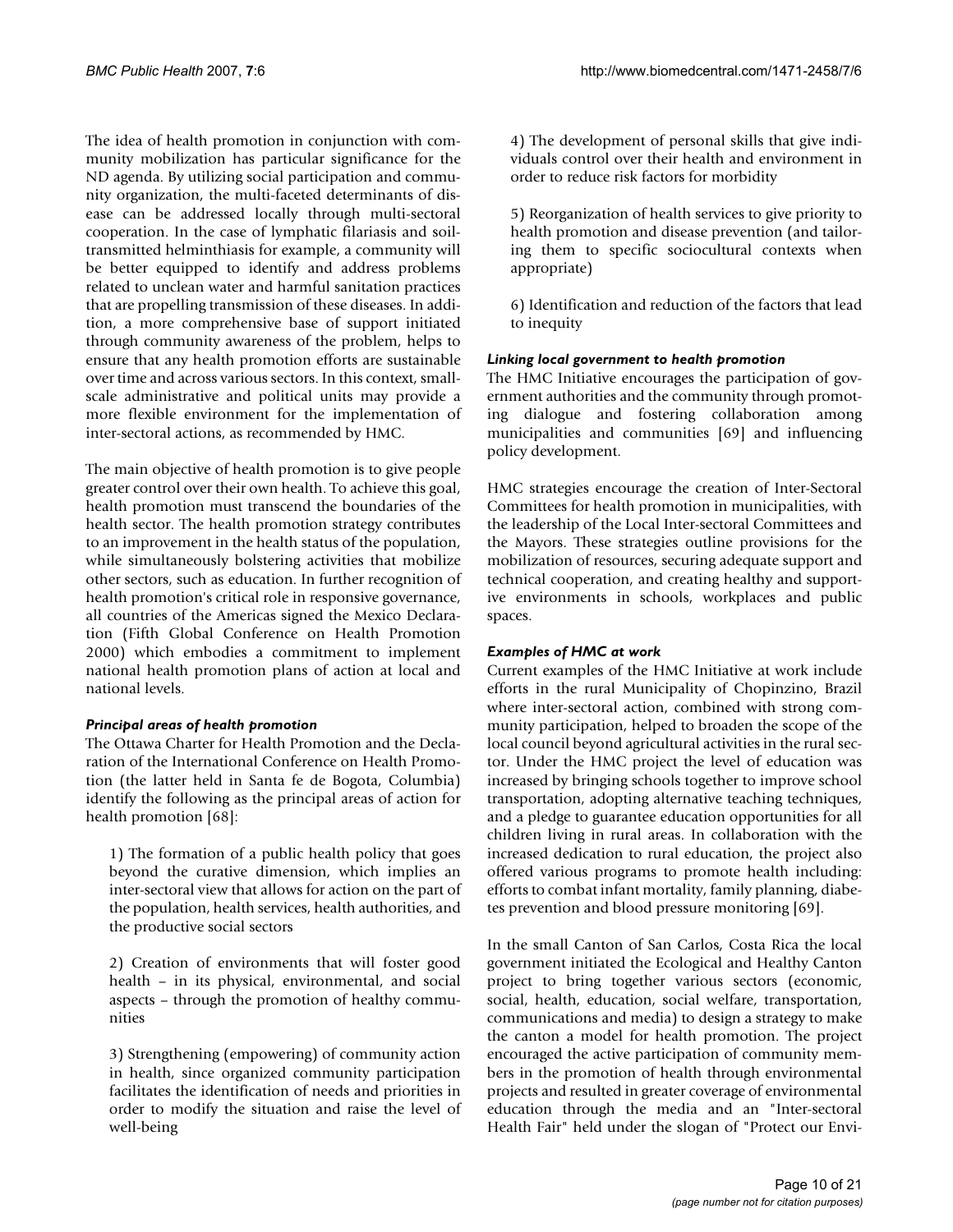The idea of health promotion in conjunction with community mobilization has particular significance for the ND agenda. By utilizing social participation and community organization, the multi-faceted determinants of disease can be addressed locally through multi-sectoral cooperation. In the case of lymphatic filariasis and soiltransmitted helminthiasis for example, a community will be better equipped to identify and address problems related to unclean water and harmful sanitation practices that are propelling transmission of these diseases. In addition, a more comprehensive base of support initiated through community awareness of the problem, helps to ensure that any health promotion efforts are sustainable over time and across various sectors. In this context, smallscale administrative and political units may provide a more flexible environment for the implementation of inter-sectoral actions, as recommended by HMC.

The main objective of health promotion is to give people greater control over their own health. To achieve this goal, health promotion must transcend the boundaries of the health sector. The health promotion strategy contributes to an improvement in the health status of the population, while simultaneously bolstering activities that mobilize other sectors, such as education. In further recognition of health promotion's critical role in responsive governance, all countries of the Americas signed the Mexico Declaration (Fifth Global Conference on Health Promotion 2000) which embodies a commitment to implement national health promotion plans of action at local and national levels.

#### *Principal areas of health promotion*

The Ottawa Charter for Health Promotion and the Declaration of the International Conference on Health Promotion (the latter held in Santa fe de Bogota, Columbia) identify the following as the principal areas of action for health promotion [68]:

1) The formation of a public health policy that goes beyond the curative dimension, which implies an inter-sectoral view that allows for action on the part of the population, health services, health authorities, and the productive social sectors

2) Creation of environments that will foster good health – in its physical, environmental, and social aspects – through the promotion of healthy communities

3) Strengthening (empowering) of community action in health, since organized community participation facilitates the identification of needs and priorities in order to modify the situation and raise the level of well-being

4) The development of personal skills that give individuals control over their health and environment in order to reduce risk factors for morbidity

5) Reorganization of health services to give priority to health promotion and disease prevention (and tailoring them to specific sociocultural contexts when appropriate)

6) Identification and reduction of the factors that lead to inequity

#### *Linking local government to health promotion*

The HMC Initiative encourages the participation of government authorities and the community through promoting dialogue and fostering collaboration among municipalities and communities [69] and influencing policy development.

HMC strategies encourage the creation of Inter-Sectoral Committees for health promotion in municipalities, with the leadership of the Local Inter-sectoral Committees and the Mayors. These strategies outline provisions for the mobilization of resources, securing adequate support and technical cooperation, and creating healthy and supportive environments in schools, workplaces and public spaces.

#### *Examples of HMC at work*

Current examples of the HMC Initiative at work include efforts in the rural Municipality of Chopinzino, Brazil where inter-sectoral action, combined with strong community participation, helped to broaden the scope of the local council beyond agricultural activities in the rural sector. Under the HMC project the level of education was increased by bringing schools together to improve school transportation, adopting alternative teaching techniques, and a pledge to guarantee education opportunities for all children living in rural areas. In collaboration with the increased dedication to rural education, the project also offered various programs to promote health including: efforts to combat infant mortality, family planning, diabetes prevention and blood pressure monitoring [69].

In the small Canton of San Carlos, Costa Rica the local government initiated the Ecological and Healthy Canton project to bring together various sectors (economic, social, health, education, social welfare, transportation, communications and media) to design a strategy to make the canton a model for health promotion. The project encouraged the active participation of community members in the promotion of health through environmental projects and resulted in greater coverage of environmental education through the media and an "Inter-sectoral Health Fair" held under the slogan of "Protect our Envi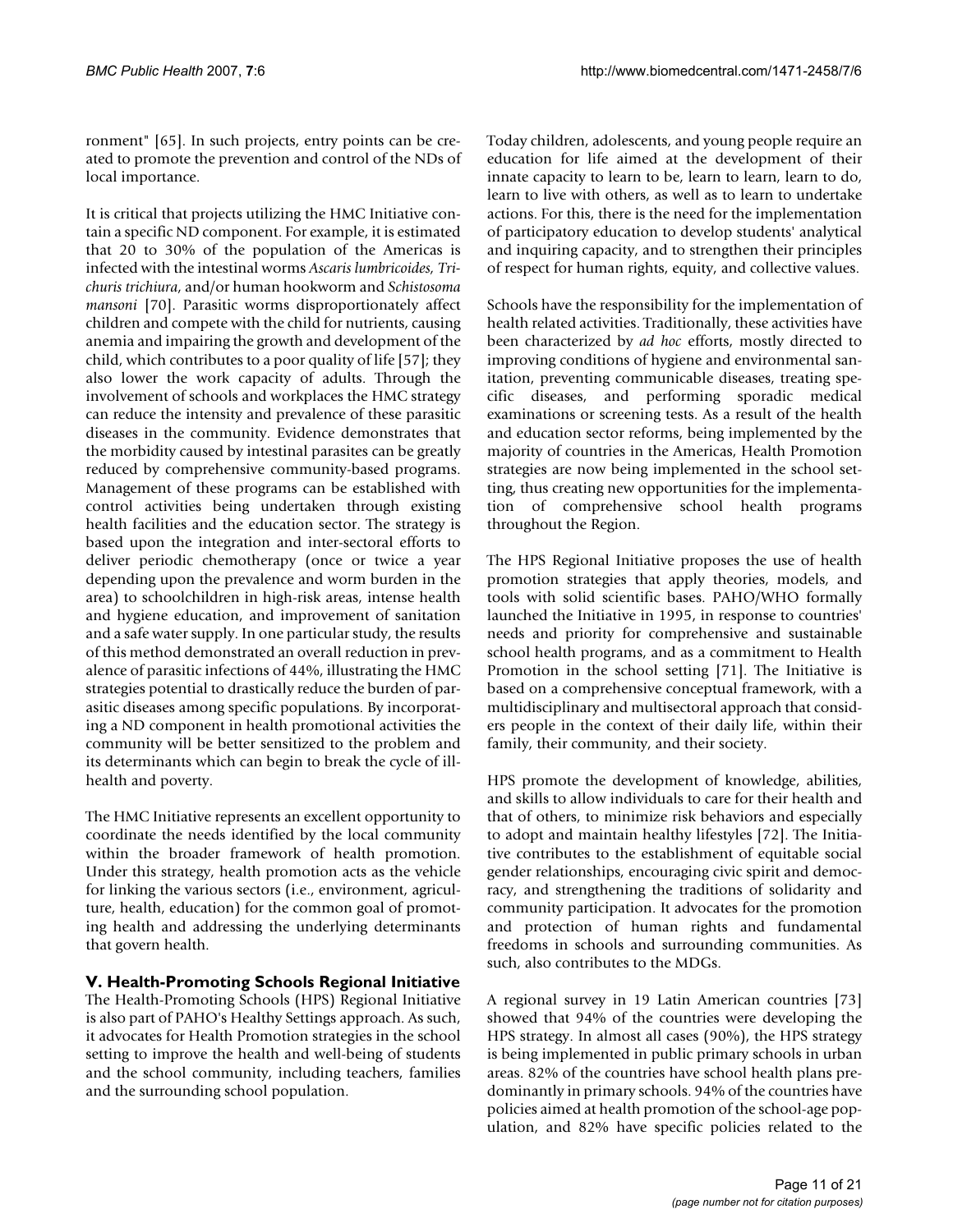ronment" [65]. In such projects, entry points can be created to promote the prevention and control of the NDs of local importance.

It is critical that projects utilizing the HMC Initiative contain a specific ND component. For example, it is estimated that 20 to 30% of the population of the Americas is infected with the intestinal worms *Ascaris lumbricoides, Trichuris trichiura*, and/or human hookworm and *Schistosoma mansoni* [70]. Parasitic worms disproportionately affect children and compete with the child for nutrients, causing anemia and impairing the growth and development of the child, which contributes to a poor quality of life [57]; they also lower the work capacity of adults. Through the involvement of schools and workplaces the HMC strategy can reduce the intensity and prevalence of these parasitic diseases in the community. Evidence demonstrates that the morbidity caused by intestinal parasites can be greatly reduced by comprehensive community-based programs. Management of these programs can be established with control activities being undertaken through existing health facilities and the education sector. The strategy is based upon the integration and inter-sectoral efforts to deliver periodic chemotherapy (once or twice a year depending upon the prevalence and worm burden in the area) to schoolchildren in high-risk areas, intense health and hygiene education, and improvement of sanitation and a safe water supply. In one particular study, the results of this method demonstrated an overall reduction in prevalence of parasitic infections of 44%, illustrating the HMC strategies potential to drastically reduce the burden of parasitic diseases among specific populations. By incorporating a ND component in health promotional activities the community will be better sensitized to the problem and its determinants which can begin to break the cycle of illhealth and poverty.

The HMC Initiative represents an excellent opportunity to coordinate the needs identified by the local community within the broader framework of health promotion. Under this strategy, health promotion acts as the vehicle for linking the various sectors (i.e., environment, agriculture, health, education) for the common goal of promoting health and addressing the underlying determinants that govern health.

# **V. Health-Promoting Schools Regional Initiative**

The Health-Promoting Schools (HPS) Regional Initiative is also part of PAHO's Healthy Settings approach. As such, it advocates for Health Promotion strategies in the school setting to improve the health and well-being of students and the school community, including teachers, families and the surrounding school population.

Today children, adolescents, and young people require an education for life aimed at the development of their innate capacity to learn to be, learn to learn, learn to do, learn to live with others, as well as to learn to undertake actions. For this, there is the need for the implementation of participatory education to develop students' analytical and inquiring capacity, and to strengthen their principles of respect for human rights, equity, and collective values.

Schools have the responsibility for the implementation of health related activities. Traditionally, these activities have been characterized by *ad hoc* efforts, mostly directed to improving conditions of hygiene and environmental sanitation, preventing communicable diseases, treating specific diseases, and performing sporadic medical examinations or screening tests. As a result of the health and education sector reforms, being implemented by the majority of countries in the Americas, Health Promotion strategies are now being implemented in the school setting, thus creating new opportunities for the implementation of comprehensive school health programs throughout the Region.

The HPS Regional Initiative proposes the use of health promotion strategies that apply theories, models, and tools with solid scientific bases. PAHO/WHO formally launched the Initiative in 1995, in response to countries' needs and priority for comprehensive and sustainable school health programs, and as a commitment to Health Promotion in the school setting [71]. The Initiative is based on a comprehensive conceptual framework, with a multidisciplinary and multisectoral approach that considers people in the context of their daily life, within their family, their community, and their society.

HPS promote the development of knowledge, abilities, and skills to allow individuals to care for their health and that of others, to minimize risk behaviors and especially to adopt and maintain healthy lifestyles [72]. The Initiative contributes to the establishment of equitable social gender relationships, encouraging civic spirit and democracy, and strengthening the traditions of solidarity and community participation. It advocates for the promotion and protection of human rights and fundamental freedoms in schools and surrounding communities. As such, also contributes to the MDGs.

A regional survey in 19 Latin American countries [73] showed that 94% of the countries were developing the HPS strategy. In almost all cases (90%), the HPS strategy is being implemented in public primary schools in urban areas. 82% of the countries have school health plans predominantly in primary schools. 94% of the countries have policies aimed at health promotion of the school-age population, and 82% have specific policies related to the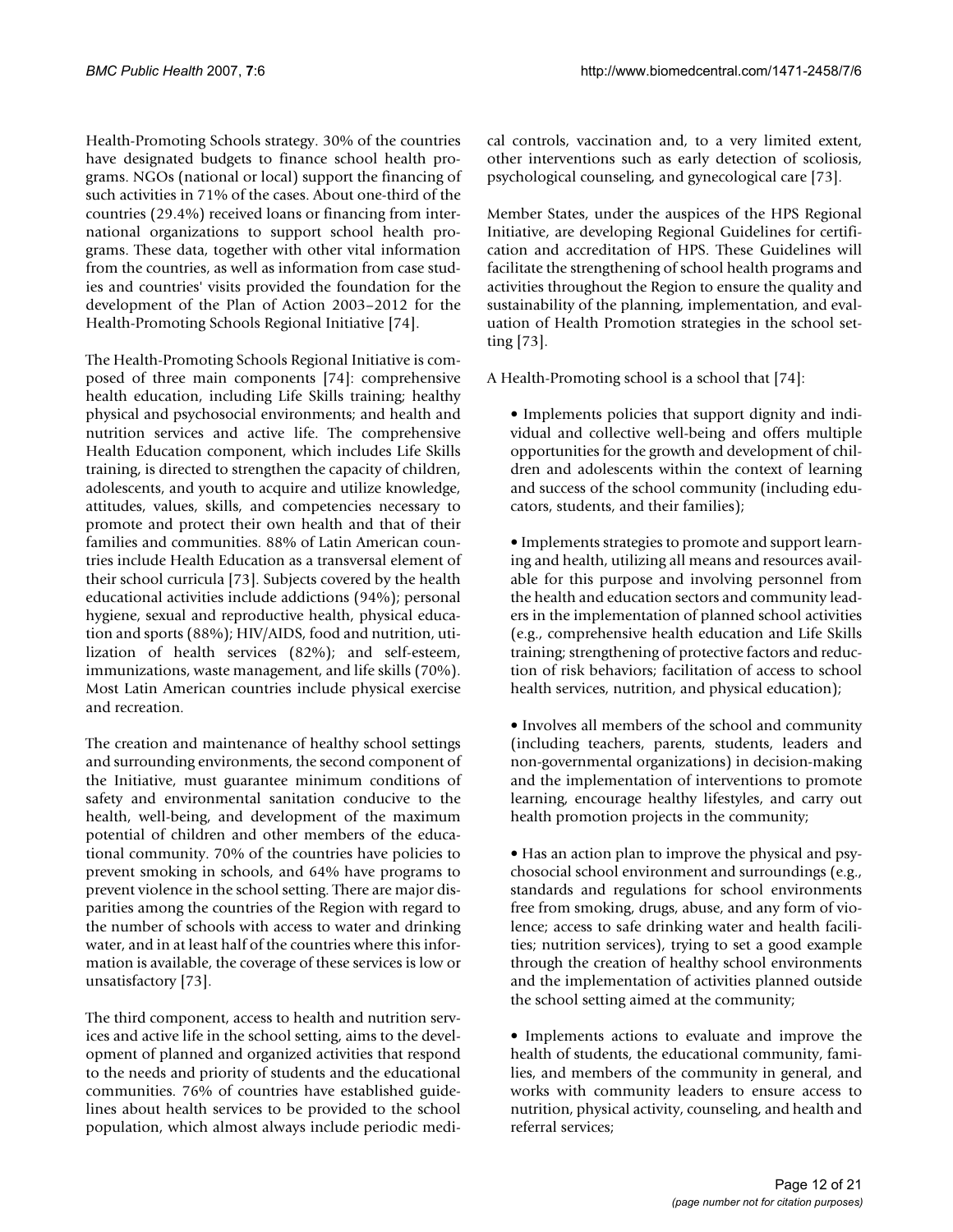Health-Promoting Schools strategy. 30% of the countries have designated budgets to finance school health programs. NGOs (national or local) support the financing of such activities in 71% of the cases. About one-third of the countries (29.4%) received loans or financing from international organizations to support school health programs. These data, together with other vital information from the countries, as well as information from case studies and countries' visits provided the foundation for the development of the Plan of Action 2003–2012 for the Health-Promoting Schools Regional Initiative [74].

The Health-Promoting Schools Regional Initiative is composed of three main components [74]: comprehensive health education, including Life Skills training; healthy physical and psychosocial environments; and health and nutrition services and active life. The comprehensive Health Education component, which includes Life Skills training, is directed to strengthen the capacity of children, adolescents, and youth to acquire and utilize knowledge, attitudes, values, skills, and competencies necessary to promote and protect their own health and that of their families and communities. 88% of Latin American countries include Health Education as a transversal element of their school curricula [73]. Subjects covered by the health educational activities include addictions (94%); personal hygiene, sexual and reproductive health, physical education and sports (88%); HIV/AIDS, food and nutrition, utilization of health services (82%); and self-esteem, immunizations, waste management, and life skills (70%). Most Latin American countries include physical exercise and recreation.

The creation and maintenance of healthy school settings and surrounding environments, the second component of the Initiative, must guarantee minimum conditions of safety and environmental sanitation conducive to the health, well-being, and development of the maximum potential of children and other members of the educational community. 70% of the countries have policies to prevent smoking in schools, and 64% have programs to prevent violence in the school setting. There are major disparities among the countries of the Region with regard to the number of schools with access to water and drinking water, and in at least half of the countries where this information is available, the coverage of these services is low or unsatisfactory [73].

The third component, access to health and nutrition services and active life in the school setting, aims to the development of planned and organized activities that respond to the needs and priority of students and the educational communities. 76% of countries have established guidelines about health services to be provided to the school population, which almost always include periodic medical controls, vaccination and, to a very limited extent, other interventions such as early detection of scoliosis, psychological counseling, and gynecological care [73].

Member States, under the auspices of the HPS Regional Initiative, are developing Regional Guidelines for certification and accreditation of HPS. These Guidelines will facilitate the strengthening of school health programs and activities throughout the Region to ensure the quality and sustainability of the planning, implementation, and evaluation of Health Promotion strategies in the school setting [73].

A Health-Promoting school is a school that [74]:

• Implements policies that support dignity and individual and collective well-being and offers multiple opportunities for the growth and development of children and adolescents within the context of learning and success of the school community (including educators, students, and their families);

• Implements strategies to promote and support learning and health, utilizing all means and resources available for this purpose and involving personnel from the health and education sectors and community leaders in the implementation of planned school activities (e.g., comprehensive health education and Life Skills training; strengthening of protective factors and reduction of risk behaviors; facilitation of access to school health services, nutrition, and physical education);

• Involves all members of the school and community (including teachers, parents, students, leaders and non-governmental organizations) in decision-making and the implementation of interventions to promote learning, encourage healthy lifestyles, and carry out health promotion projects in the community;

• Has an action plan to improve the physical and psychosocial school environment and surroundings (e.g., standards and regulations for school environments free from smoking, drugs, abuse, and any form of violence; access to safe drinking water and health facilities; nutrition services), trying to set a good example through the creation of healthy school environments and the implementation of activities planned outside the school setting aimed at the community;

• Implements actions to evaluate and improve the health of students, the educational community, families, and members of the community in general, and works with community leaders to ensure access to nutrition, physical activity, counseling, and health and referral services;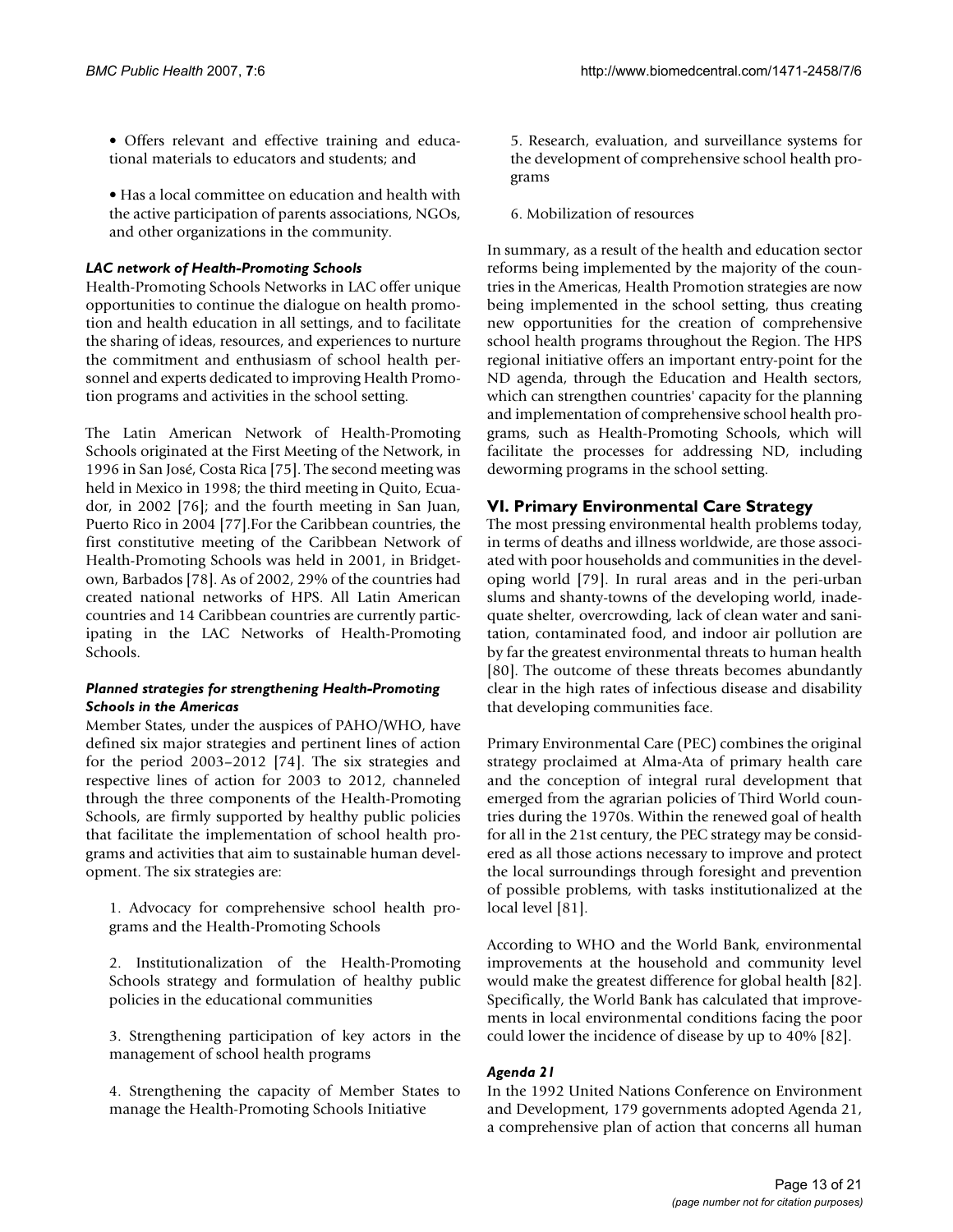- Offers relevant and effective training and educational materials to educators and students; and
- Has a local committee on education and health with the active participation of parents associations, NGOs, and other organizations in the community.

#### *LAC network of Health-Promoting Schools*

Health-Promoting Schools Networks in LAC offer unique opportunities to continue the dialogue on health promotion and health education in all settings, and to facilitate the sharing of ideas, resources, and experiences to nurture the commitment and enthusiasm of school health personnel and experts dedicated to improving Health Promotion programs and activities in the school setting.

The Latin American Network of Health-Promoting Schools originated at the First Meeting of the Network, in 1996 in San José, Costa Rica [75]. The second meeting was held in Mexico in 1998; the third meeting in Quito, Ecuador, in 2002 [76]; and the fourth meeting in San Juan, Puerto Rico in 2004 [77].For the Caribbean countries, the first constitutive meeting of the Caribbean Network of Health-Promoting Schools was held in 2001, in Bridgetown, Barbados [78]. As of 2002, 29% of the countries had created national networks of HPS. All Latin American countries and 14 Caribbean countries are currently participating in the LAC Networks of Health-Promoting Schools.

#### *Planned strategies for strengthening Health-Promoting Schools in the Americas*

Member States, under the auspices of PAHO/WHO, have defined six major strategies and pertinent lines of action for the period 2003–2012 [74]. The six strategies and respective lines of action for 2003 to 2012, channeled through the three components of the Health-Promoting Schools, are firmly supported by healthy public policies that facilitate the implementation of school health programs and activities that aim to sustainable human development. The six strategies are:

1. Advocacy for comprehensive school health programs and the Health-Promoting Schools

2. Institutionalization of the Health-Promoting Schools strategy and formulation of healthy public policies in the educational communities

3. Strengthening participation of key actors in the management of school health programs

4. Strengthening the capacity of Member States to manage the Health-Promoting Schools Initiative

5. Research, evaluation, and surveillance systems for the development of comprehensive school health programs

#### 6. Mobilization of resources

In summary, as a result of the health and education sector reforms being implemented by the majority of the countries in the Americas, Health Promotion strategies are now being implemented in the school setting, thus creating new opportunities for the creation of comprehensive school health programs throughout the Region. The HPS regional initiative offers an important entry-point for the ND agenda, through the Education and Health sectors, which can strengthen countries' capacity for the planning and implementation of comprehensive school health programs, such as Health-Promoting Schools, which will facilitate the processes for addressing ND, including deworming programs in the school setting.

#### **VI. Primary Environmental Care Strategy**

The most pressing environmental health problems today, in terms of deaths and illness worldwide, are those associated with poor households and communities in the developing world [79]. In rural areas and in the peri-urban slums and shanty-towns of the developing world, inadequate shelter, overcrowding, lack of clean water and sanitation, contaminated food, and indoor air pollution are by far the greatest environmental threats to human health [80]. The outcome of these threats becomes abundantly clear in the high rates of infectious disease and disability that developing communities face.

Primary Environmental Care (PEC) combines the original strategy proclaimed at Alma-Ata of primary health care and the conception of integral rural development that emerged from the agrarian policies of Third World countries during the 1970s. Within the renewed goal of health for all in the 21st century, the PEC strategy may be considered as all those actions necessary to improve and protect the local surroundings through foresight and prevention of possible problems, with tasks institutionalized at the local level [81].

According to WHO and the World Bank, environmental improvements at the household and community level would make the greatest difference for global health [82]. Specifically, the World Bank has calculated that improvements in local environmental conditions facing the poor could lower the incidence of disease by up to 40% [82].

#### *Agenda 21*

In the 1992 United Nations Conference on Environment and Development, 179 governments adopted Agenda 21, a comprehensive plan of action that concerns all human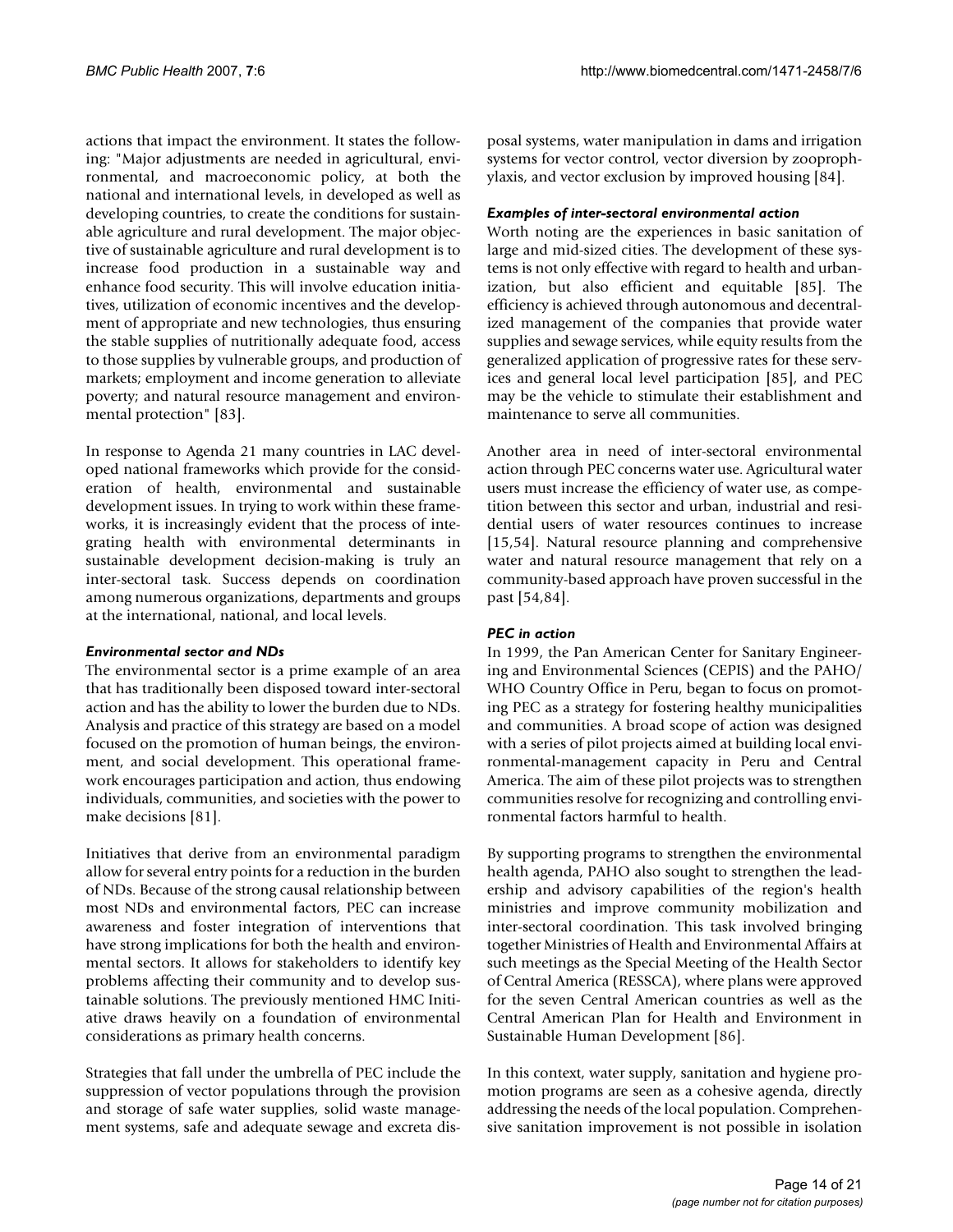actions that impact the environment. It states the following: "Major adjustments are needed in agricultural, environmental, and macroeconomic policy, at both the national and international levels, in developed as well as developing countries, to create the conditions for sustainable agriculture and rural development. The major objective of sustainable agriculture and rural development is to increase food production in a sustainable way and enhance food security. This will involve education initiatives, utilization of economic incentives and the development of appropriate and new technologies, thus ensuring the stable supplies of nutritionally adequate food, access to those supplies by vulnerable groups, and production of markets; employment and income generation to alleviate poverty; and natural resource management and environmental protection" [83].

In response to Agenda 21 many countries in LAC developed national frameworks which provide for the consideration of health, environmental and sustainable development issues. In trying to work within these frameworks, it is increasingly evident that the process of integrating health with environmental determinants in sustainable development decision-making is truly an inter-sectoral task. Success depends on coordination among numerous organizations, departments and groups at the international, national, and local levels.

#### *Environmental sector and NDs*

The environmental sector is a prime example of an area that has traditionally been disposed toward inter-sectoral action and has the ability to lower the burden due to NDs. Analysis and practice of this strategy are based on a model focused on the promotion of human beings, the environment, and social development. This operational framework encourages participation and action, thus endowing individuals, communities, and societies with the power to make decisions [81].

Initiatives that derive from an environmental paradigm allow for several entry points for a reduction in the burden of NDs. Because of the strong causal relationship between most NDs and environmental factors, PEC can increase awareness and foster integration of interventions that have strong implications for both the health and environmental sectors. It allows for stakeholders to identify key problems affecting their community and to develop sustainable solutions. The previously mentioned HMC Initiative draws heavily on a foundation of environmental considerations as primary health concerns.

Strategies that fall under the umbrella of PEC include the suppression of vector populations through the provision and storage of safe water supplies, solid waste management systems, safe and adequate sewage and excreta disposal systems, water manipulation in dams and irrigation systems for vector control, vector diversion by zooprophylaxis, and vector exclusion by improved housing [84].

#### *Examples of inter-sectoral environmental action*

Worth noting are the experiences in basic sanitation of large and mid-sized cities. The development of these systems is not only effective with regard to health and urbanization, but also efficient and equitable [85]. The efficiency is achieved through autonomous and decentralized management of the companies that provide water supplies and sewage services, while equity results from the generalized application of progressive rates for these services and general local level participation [85], and PEC may be the vehicle to stimulate their establishment and maintenance to serve all communities.

Another area in need of inter-sectoral environmental action through PEC concerns water use. Agricultural water users must increase the efficiency of water use, as competition between this sector and urban, industrial and residential users of water resources continues to increase [15,54]. Natural resource planning and comprehensive water and natural resource management that rely on a community-based approach have proven successful in the past [54,84].

#### *PEC in action*

In 1999, the Pan American Center for Sanitary Engineering and Environmental Sciences (CEPIS) and the PAHO/ WHO Country Office in Peru, began to focus on promoting PEC as a strategy for fostering healthy municipalities and communities. A broad scope of action was designed with a series of pilot projects aimed at building local environmental-management capacity in Peru and Central America. The aim of these pilot projects was to strengthen communities resolve for recognizing and controlling environmental factors harmful to health.

By supporting programs to strengthen the environmental health agenda, PAHO also sought to strengthen the leadership and advisory capabilities of the region's health ministries and improve community mobilization and inter-sectoral coordination. This task involved bringing together Ministries of Health and Environmental Affairs at such meetings as the Special Meeting of the Health Sector of Central America (RESSCA), where plans were approved for the seven Central American countries as well as the Central American Plan for Health and Environment in Sustainable Human Development [86].

In this context, water supply, sanitation and hygiene promotion programs are seen as a cohesive agenda, directly addressing the needs of the local population. Comprehensive sanitation improvement is not possible in isolation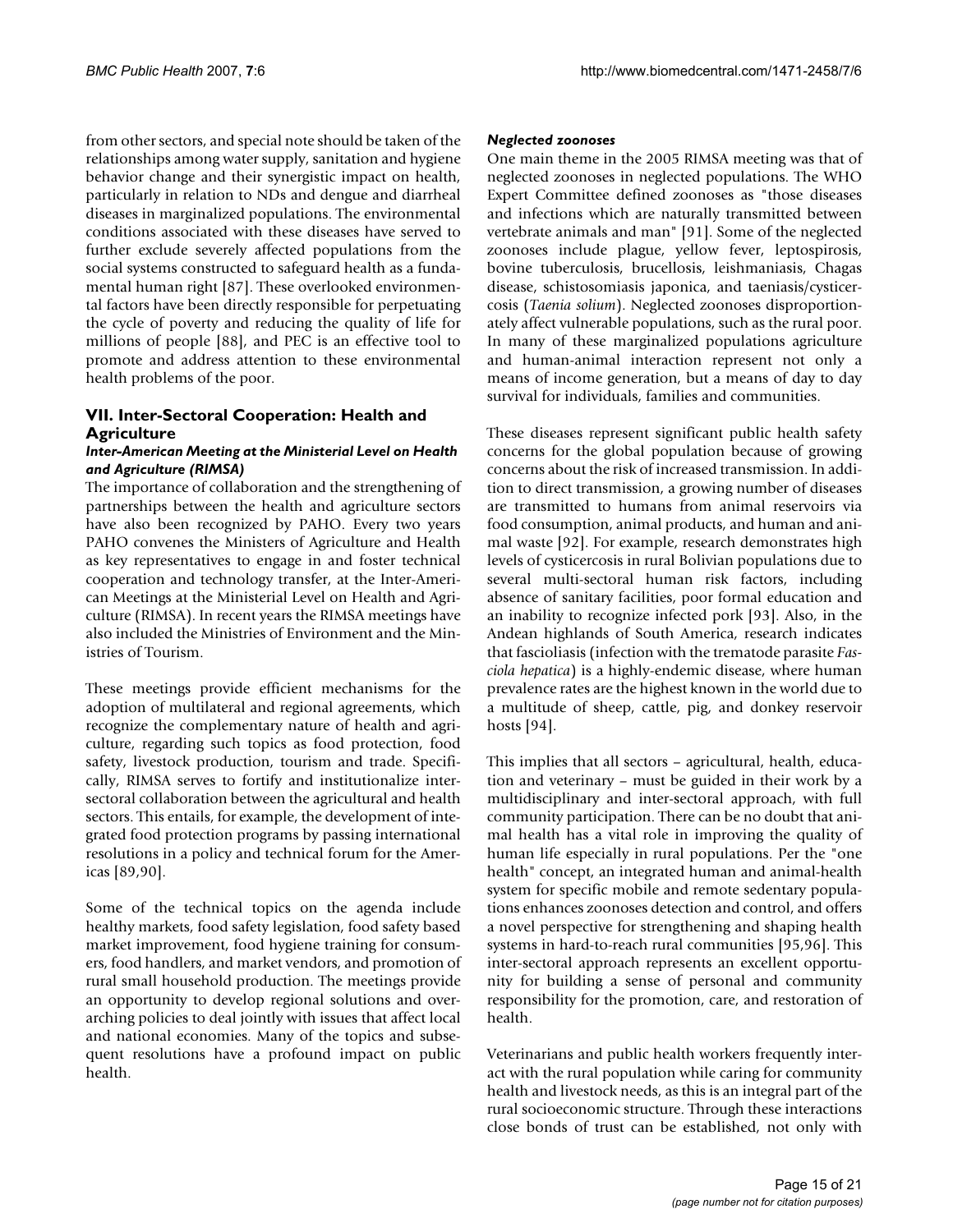from other sectors, and special note should be taken of the relationships among water supply, sanitation and hygiene behavior change and their synergistic impact on health, particularly in relation to NDs and dengue and diarrheal diseases in marginalized populations. The environmental conditions associated with these diseases have served to further exclude severely affected populations from the social systems constructed to safeguard health as a fundamental human right [87]. These overlooked environmental factors have been directly responsible for perpetuating the cycle of poverty and reducing the quality of life for millions of people [88], and PEC is an effective tool to promote and address attention to these environmental health problems of the poor.

# **VII. Inter-Sectoral Cooperation: Health and Agriculture**

### *Inter-American Meeting at the Ministerial Level on Health and Agriculture (RIMSA)*

The importance of collaboration and the strengthening of partnerships between the health and agriculture sectors have also been recognized by PAHO. Every two years PAHO convenes the Ministers of Agriculture and Health as key representatives to engage in and foster technical cooperation and technology transfer, at the Inter-American Meetings at the Ministerial Level on Health and Agriculture (RIMSA). In recent years the RIMSA meetings have also included the Ministries of Environment and the Ministries of Tourism.

These meetings provide efficient mechanisms for the adoption of multilateral and regional agreements, which recognize the complementary nature of health and agriculture, regarding such topics as food protection, food safety, livestock production, tourism and trade. Specifically, RIMSA serves to fortify and institutionalize intersectoral collaboration between the agricultural and health sectors. This entails, for example, the development of integrated food protection programs by passing international resolutions in a policy and technical forum for the Americas [89,90].

Some of the technical topics on the agenda include healthy markets, food safety legislation, food safety based market improvement, food hygiene training for consumers, food handlers, and market vendors, and promotion of rural small household production. The meetings provide an opportunity to develop regional solutions and overarching policies to deal jointly with issues that affect local and national economies. Many of the topics and subsequent resolutions have a profound impact on public health.

#### *Neglected zoonoses*

One main theme in the 2005 RIMSA meeting was that of neglected zoonoses in neglected populations. The WHO Expert Committee defined zoonoses as "those diseases and infections which are naturally transmitted between vertebrate animals and man" [91]. Some of the neglected zoonoses include plague, yellow fever, leptospirosis, bovine tuberculosis, brucellosis, leishmaniasis, Chagas disease, schistosomiasis japonica, and taeniasis/cysticercosis (*Taenia solium*). Neglected zoonoses disproportionately affect vulnerable populations, such as the rural poor. In many of these marginalized populations agriculture and human-animal interaction represent not only a means of income generation, but a means of day to day survival for individuals, families and communities.

These diseases represent significant public health safety concerns for the global population because of growing concerns about the risk of increased transmission. In addition to direct transmission, a growing number of diseases are transmitted to humans from animal reservoirs via food consumption, animal products, and human and animal waste [92]. For example, research demonstrates high levels of cysticercosis in rural Bolivian populations due to several multi-sectoral human risk factors, including absence of sanitary facilities, poor formal education and an inability to recognize infected pork [93]. Also, in the Andean highlands of South America, research indicates that fascioliasis (infection with the trematode parasite *Fasciola hepatica*) is a highly-endemic disease, where human prevalence rates are the highest known in the world due to a multitude of sheep, cattle, pig, and donkey reservoir hosts [\[94\]](#page-20-0).

This implies that all sectors – agricultural, health, education and veterinary – must be guided in their work by a multidisciplinary and inter-sectoral approach, with full community participation. There can be no doubt that animal health has a vital role in improving the quality of human life especially in rural populations. Per the "one health" concept, an integrated human and animal-health system for specific mobile and remote sedentary populations enhances zoonoses detection and control, and offers a novel perspective for strengthening and shaping health systems in hard-to-reach rural communities [95,96]. This inter-sectoral approach represents an excellent opportunity for building a sense of personal and community responsibility for the promotion, care, and restoration of health.

Veterinarians and public health workers frequently interact with the rural population while caring for community health and livestock needs, as this is an integral part of the rural socioeconomic structure. Through these interactions close bonds of trust can be established, not only with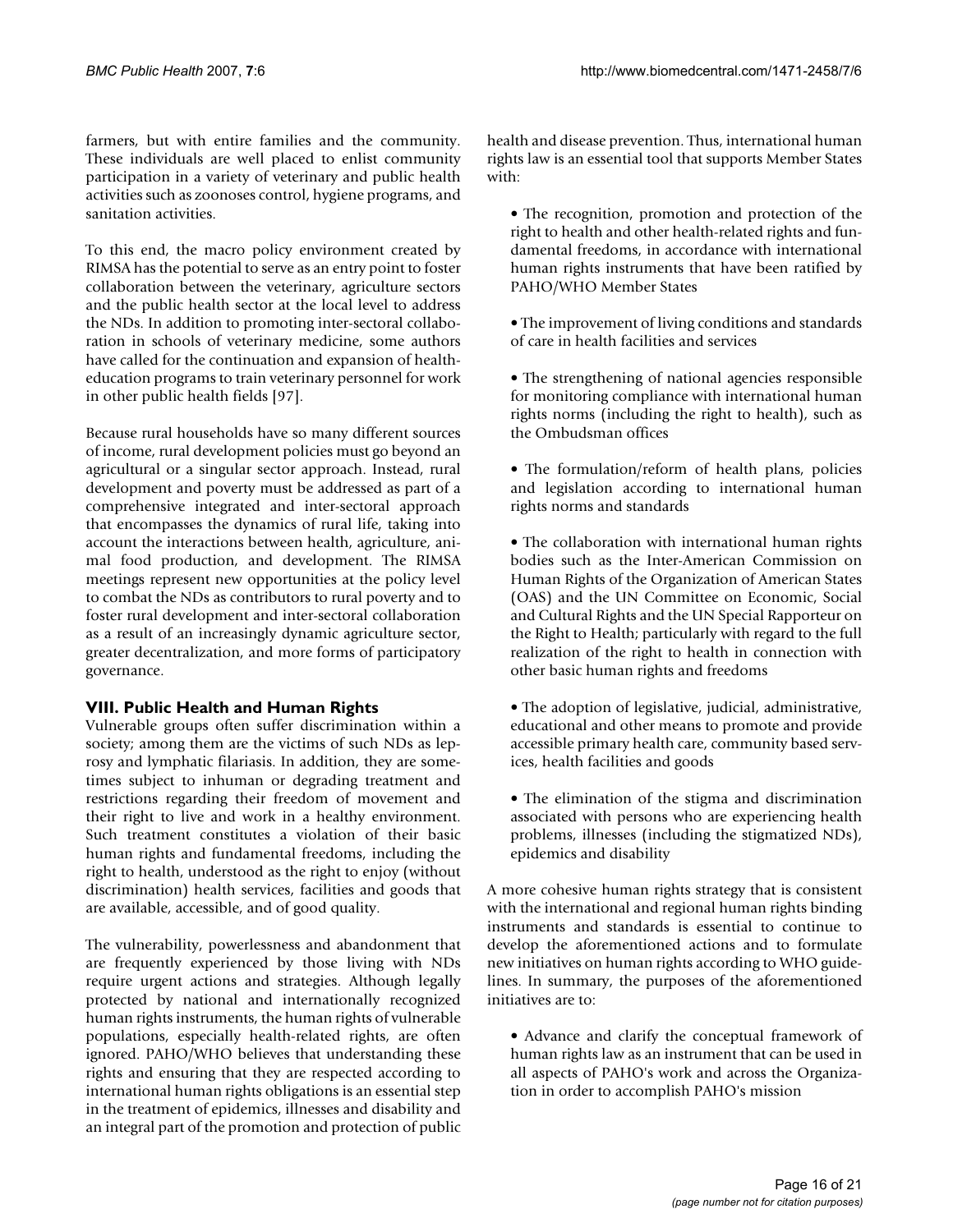farmers, but with entire families and the community. These individuals are well placed to enlist community participation in a variety of veterinary and public health activities such as zoonoses control, hygiene programs, and sanitation activities.

To this end, the macro policy environment created by RIMSA has the potential to serve as an entry point to foster collaboration between the veterinary, agriculture sectors and the public health sector at the local level to address the NDs. In addition to promoting inter-sectoral collaboration in schools of veterinary medicine, some authors have called for the continuation and expansion of healtheducation programs to train veterinary personnel for work in other public health fields [97].

Because rural households have so many different sources of income, rural development policies must go beyond an agricultural or a singular sector approach. Instead, rural development and poverty must be addressed as part of a comprehensive integrated and inter-sectoral approach that encompasses the dynamics of rural life, taking into account the interactions between health, agriculture, animal food production, and development. The RIMSA meetings represent new opportunities at the policy level to combat the NDs as contributors to rural poverty and to foster rural development and inter-sectoral collaboration as a result of an increasingly dynamic agriculture sector, greater decentralization, and more forms of participatory governance.

# **VIII. Public Health and Human Rights**

Vulnerable groups often suffer discrimination within a society; among them are the victims of such NDs as leprosy and lymphatic filariasis. In addition, they are sometimes subject to inhuman or degrading treatment and restrictions regarding their freedom of movement and their right to live and work in a healthy environment. Such treatment constitutes a violation of their basic human rights and fundamental freedoms, including the right to health, understood as the right to enjoy (without discrimination) health services, facilities and goods that are available, accessible, and of good quality.

The vulnerability, powerlessness and abandonment that are frequently experienced by those living with NDs require urgent actions and strategies. Although legally protected by national and internationally recognized human rights instruments, the human rights of vulnerable populations, especially health-related rights, are often ignored. PAHO/WHO believes that understanding these rights and ensuring that they are respected according to international human rights obligations is an essential step in the treatment of epidemics, illnesses and disability and an integral part of the promotion and protection of public health and disease prevention. Thus, international human rights law is an essential tool that supports Member States with:

• The recognition, promotion and protection of the right to health and other health-related rights and fundamental freedoms, in accordance with international human rights instruments that have been ratified by PAHO/WHO Member States

• The improvement of living conditions and standards of care in health facilities and services

• The strengthening of national agencies responsible for monitoring compliance with international human rights norms (including the right to health), such as the Ombudsman offices

• The formulation/reform of health plans, policies and legislation according to international human rights norms and standards

• The collaboration with international human rights bodies such as the Inter-American Commission on Human Rights of the Organization of American States (OAS) and the UN Committee on Economic, Social and Cultural Rights and the UN Special Rapporteur on the Right to Health; particularly with regard to the full realization of the right to health in connection with other basic human rights and freedoms

• The adoption of legislative, judicial, administrative, educational and other means to promote and provide accessible primary health care, community based services, health facilities and goods

• The elimination of the stigma and discrimination associated with persons who are experiencing health problems, illnesses (including the stigmatized NDs), epidemics and disability

A more cohesive human rights strategy that is consistent with the international and regional human rights binding instruments and standards is essential to continue to develop the aforementioned actions and to formulate new initiatives on human rights according to WHO guidelines. In summary, the purposes of the aforementioned initiatives are to:

• Advance and clarify the conceptual framework of human rights law as an instrument that can be used in all aspects of PAHO's work and across the Organization in order to accomplish PAHO's mission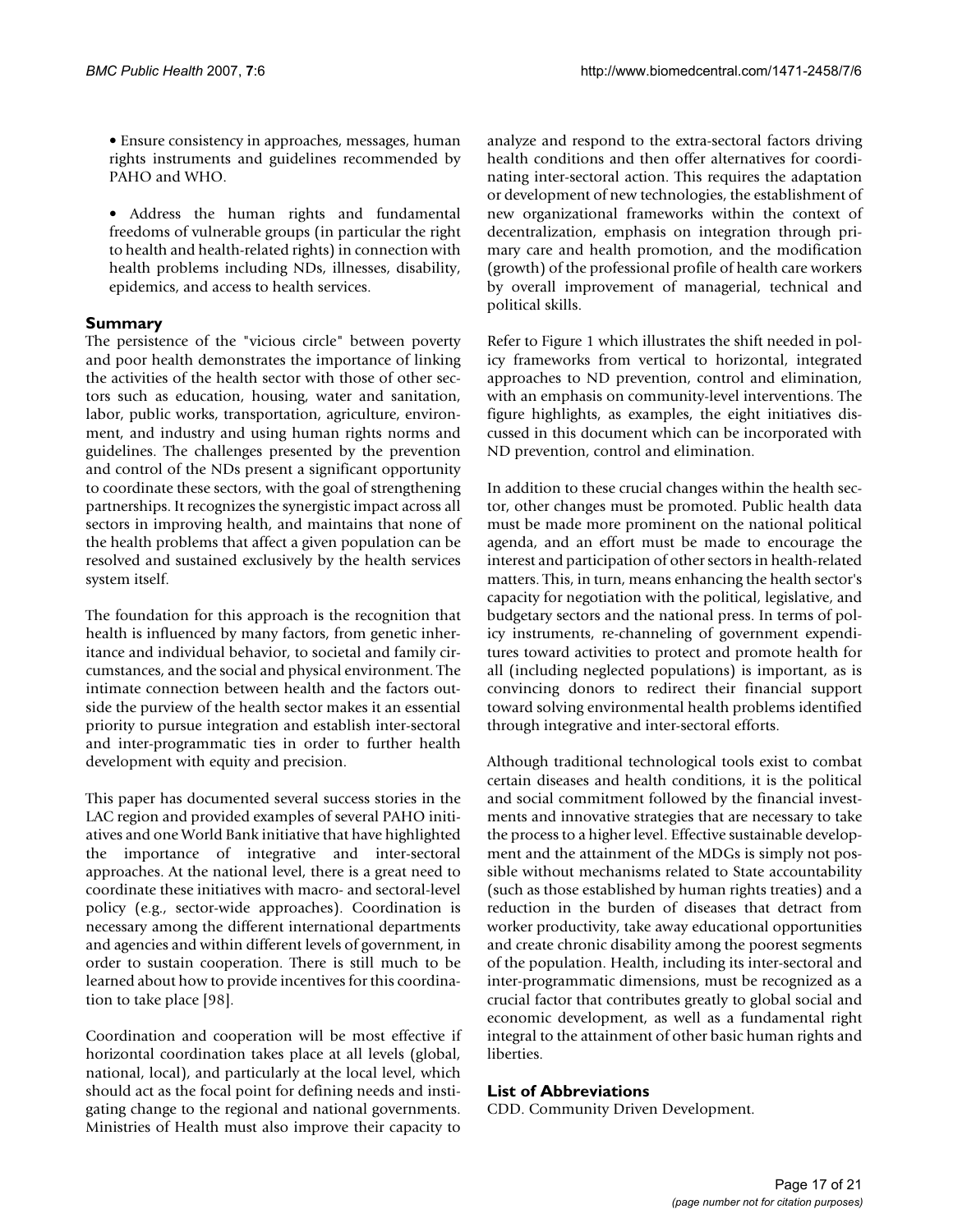• Ensure consistency in approaches, messages, human rights instruments and guidelines recommended by PAHO and WHO.

• Address the human rights and fundamental freedoms of vulnerable groups (in particular the right to health and health-related rights) in connection with health problems including NDs, illnesses, disability, epidemics, and access to health services.

# **Summary**

The persistence of the "vicious circle" between poverty and poor health demonstrates the importance of linking the activities of the health sector with those of other sectors such as education, housing, water and sanitation, labor, public works, transportation, agriculture, environment, and industry and using human rights norms and guidelines. The challenges presented by the prevention and control of the NDs present a significant opportunity to coordinate these sectors, with the goal of strengthening partnerships. It recognizes the synergistic impact across all sectors in improving health, and maintains that none of the health problems that affect a given population can be resolved and sustained exclusively by the health services system itself.

The foundation for this approach is the recognition that health is influenced by many factors, from genetic inheritance and individual behavior, to societal and family circumstances, and the social and physical environment. The intimate connection between health and the factors outside the purview of the health sector makes it an essential priority to pursue integration and establish inter-sectoral and inter-programmatic ties in order to further health development with equity and precision.

This paper has documented several success stories in the LAC region and provided examples of several PAHO initiatives and one World Bank initiative that have highlighted the importance of integrative and inter-sectoral approaches. At the national level, there is a great need to coordinate these initiatives with macro- and sectoral-level policy (e.g., sector-wide approaches). Coordination is necessary among the different international departments and agencies and within different levels of government, in order to sustain cooperation. There is still much to be learned about how to provide incentives for this coordination to take place [98].

Coordination and cooperation will be most effective if horizontal coordination takes place at all levels (global, national, local), and particularly at the local level, which should act as the focal point for defining needs and instigating change to the regional and national governments. Ministries of Health must also improve their capacity to

analyze and respond to the extra-sectoral factors driving health conditions and then offer alternatives for coordinating inter-sectoral action. This requires the adaptation or development of new technologies, the establishment of new organizational frameworks within the context of decentralization, emphasis on integration through primary care and health promotion, and the modification (growth) of the professional profile of health care workers by overall improvement of managerial, technical and political skills.

Refer to Figure 1 which illustrates the shift needed in policy frameworks from vertical to horizontal, integrated approaches to ND prevention, control and elimination, with an emphasis on community-level interventions. The figure highlights, as examples, the eight initiatives discussed in this document which can be incorporated with ND prevention, control and elimination.

In addition to these crucial changes within the health sector, other changes must be promoted. Public health data must be made more prominent on the national political agenda, and an effort must be made to encourage the interest and participation of other sectors in health-related matters. This, in turn, means enhancing the health sector's capacity for negotiation with the political, legislative, and budgetary sectors and the national press. In terms of policy instruments, re-channeling of government expenditures toward activities to protect and promote health for all (including neglected populations) is important, as is convincing donors to redirect their financial support toward solving environmental health problems identified through integrative and inter-sectoral efforts.

Although traditional technological tools exist to combat certain diseases and health conditions, it is the political and social commitment followed by the financial investments and innovative strategies that are necessary to take the process to a higher level. Effective sustainable development and the attainment of the MDGs is simply not possible without mechanisms related to State accountability (such as those established by human rights treaties) and a reduction in the burden of diseases that detract from worker productivity, take away educational opportunities and create chronic disability among the poorest segments of the population. Health, including its inter-sectoral and inter-programmatic dimensions, must be recognized as a crucial factor that contributes greatly to global social and economic development, as well as a fundamental right integral to the attainment of other basic human rights and liberties.

# **List of Abbreviations**

CDD. Community Driven Development.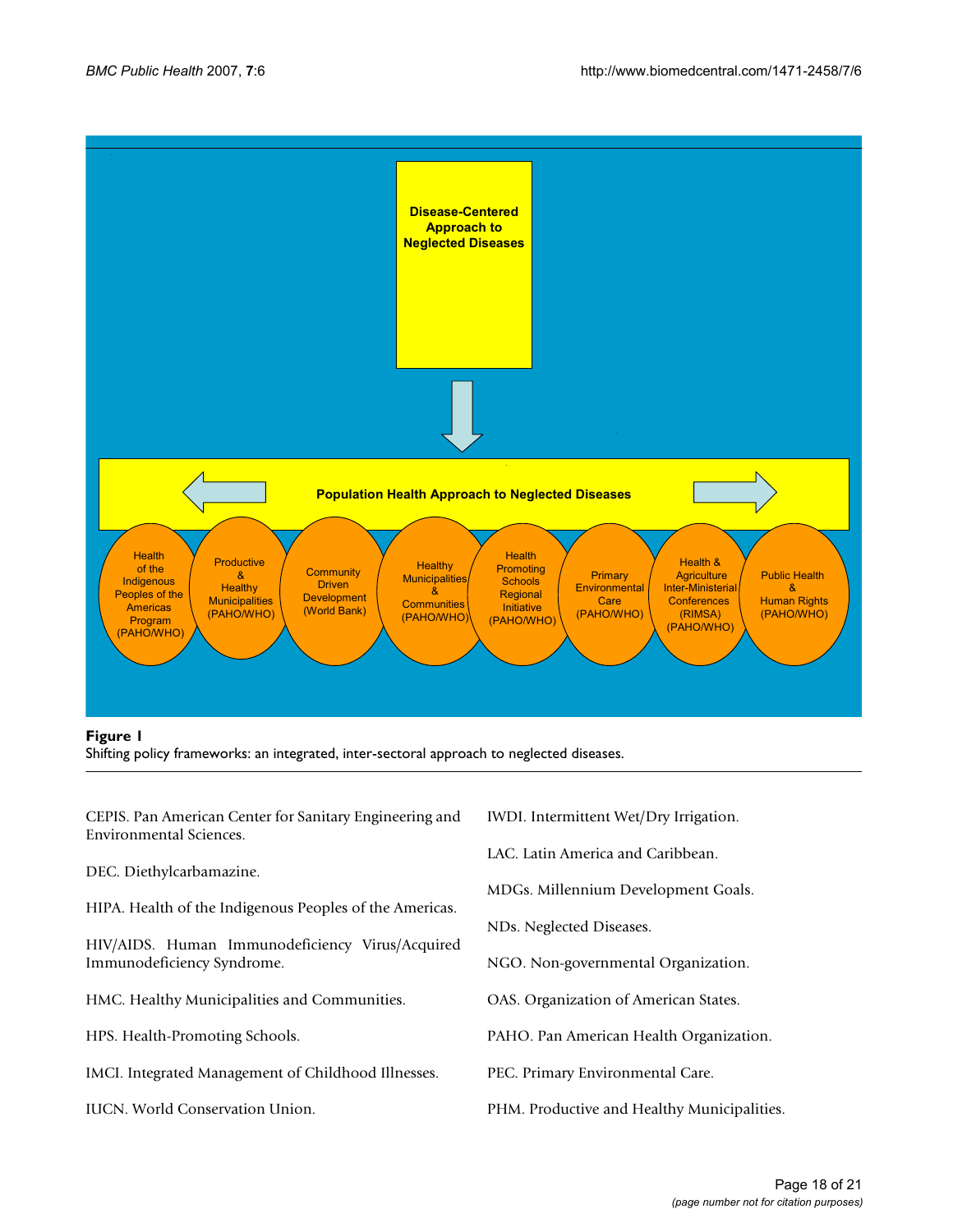

#### Figure 1

Shifting policy frameworks: an integrated, inter-sectoral approach to neglected diseases.

CEPIS. Pan American Center for Sanitary Engineering and Environmental Sciences.

DEC. Diethylcarbamazine.

HIPA. Health of the Indigenous Peoples of the Americas.

HIV/AIDS. Human Immunodeficiency Virus/Acquired Immunodeficiency Syndrome.

HMC. Healthy Municipalities and Communities.

HPS. Health-Promoting Schools.

IMCI. Integrated Management of Childhood Illnesses.

IUCN. World Conservation Union.

IWDI. Intermittent Wet/Dry Irrigation.

LAC. Latin America and Caribbean.

MDGs. Millennium Development Goals.

NDs. Neglected Diseases.

NGO. Non-governmental Organization.

OAS. Organization of American States.

PAHO. Pan American Health Organization.

PEC. Primary Environmental Care.

PHM. Productive and Healthy Municipalities.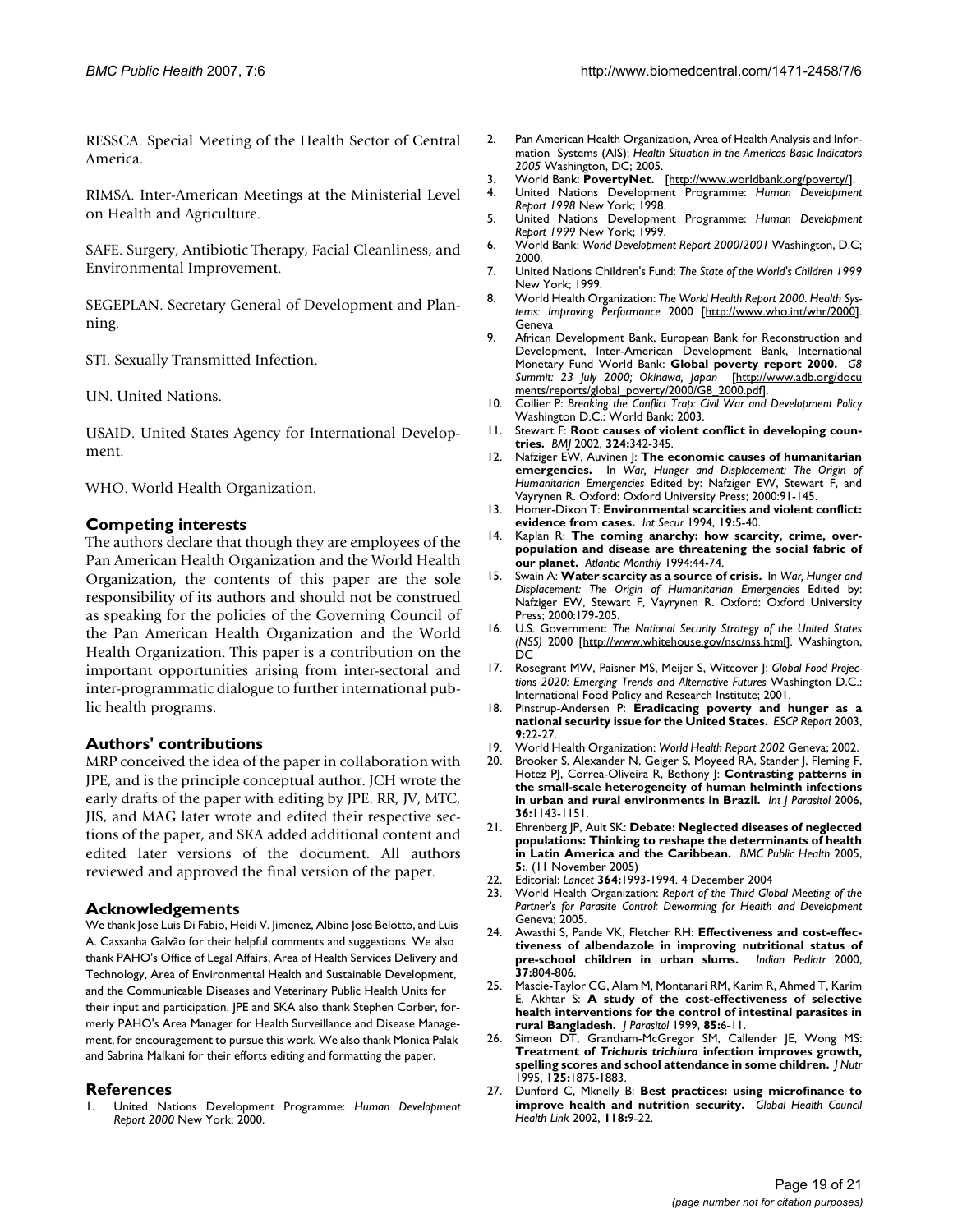RESSCA. Special Meeting of the Health Sector of Central America.

RIMSA. Inter-American Meetings at the Ministerial Level on Health and Agriculture.

SAFE. Surgery, Antibiotic Therapy, Facial Cleanliness, and Environmental Improvement.

SEGEPLAN. Secretary General of Development and Planning.

STI. Sexually Transmitted Infection.

UN. United Nations.

USAID. United States Agency for International Development.

WHO. World Health Organization.

#### **Competing interests**

The authors declare that though they are employees of the Pan American Health Organization and the World Health Organization, the contents of this paper are the sole responsibility of its authors and should not be construed as speaking for the policies of the Governing Council of the Pan American Health Organization and the World Health Organization. This paper is a contribution on the important opportunities arising from inter-sectoral and inter-programmatic dialogue to further international public health programs.

### **Authors' contributions**

MRP conceived the idea of the paper in collaboration with JPE, and is the principle conceptual author. JCH wrote the early drafts of the paper with editing by JPE. RR, JV, MTC, JIS, and MAG later wrote and edited their respective sections of the paper, and SKA added additional content and edited later versions of the document. All authors reviewed and approved the final version of the paper.

#### **Acknowledgements**

We thank Jose Luis Di Fabio, Heidi V. Jimenez, Albino Jose Belotto, and Luis A. Cassanha Galvão for their helpful comments and suggestions. We also thank PAHO's Office of Legal Affairs, Area of Health Services Delivery and Technology, Area of Environmental Health and Sustainable Development, and the Communicable Diseases and Veterinary Public Health Units for their input and participation. JPE and SKA also thank Stephen Corber, formerly PAHO's Area Manager for Health Surveillance and Disease Management, for encouragement to pursue this work. We also thank Monica Palak and Sabrina Malkani for their efforts editing and formatting the paper.

#### **References**

1. United Nations Development Programme: *Human Development Report 2000* New York; 2000.

- 2. Pan American Health Organization, Area of Health Analysis and Information Systems (AIS): *Health Situation in the Americas Basic Indicators 2005* Washington, DC; 2005.
- 3. World Bank: **PovertyNet.** [\[http://www.worldbank.org/poverty/](http://www.worldbank.org/poverty/)].<br>4. United Nations Development Programme: Human Developmer
- 4. United Nations Development Programme: *Human Development Report 1998* New York; 1998.
- 5. United Nations Development Programme: *Human Development Report 1999* New York; 1999.
- 6. World Bank: *World Development Report 2000/2001* Washington, D.C; 2000.
- 7. United Nations Children's Fund: *The State of the World's Children 1999* New York; 1999.
- 8. World Health Organization: *The World Health Report 2000. Health Systems: Improving Performance* 2000 [\[http://www.who.int/whr/2000\]](http://www.who.int/whr/2000). Geneva
- 9. African Development Bank, European Bank for Reconstruction and Development, Inter-American Development Bank, International Monetary Fund World Bank: **Global poverty report 2000.** *G8 Summit: 23 July 2000; Okinawa, Japan* [[http://www.adb.org/docu](http://www.adb.org/documents/reports/global_poverty/2000/G8_2000.pdf) [ments/reports/global\\_poverty/2000/G8\\_2000.pdf\]](http://www.adb.org/documents/reports/global_poverty/2000/G8_2000.pdf).
- 10. Collier P: *Breaking the Conflict Trap: Civil War and Development Policy* Washington D.C.: World Bank; 2003.
- 11. Stewart F: **[Root causes of violent conflict in developing coun](http://www.ncbi.nlm.nih.gov/entrez/query.fcgi?cmd=Retrieve&db=PubMed&dopt=Abstract&list_uids=11834564)[tries.](http://www.ncbi.nlm.nih.gov/entrez/query.fcgi?cmd=Retrieve&db=PubMed&dopt=Abstract&list_uids=11834564)** *BMJ* 2002, **324:**342-345.
- 12. Nafziger EW, Auvinen J: **The economic causes of humanitarian emergencies.** In *War, Hunger and Displacement: The Origin of Humanitarian Emergencies* Edited by: Nafziger EW, Stewart F, and Vayrynen R. Oxford: Oxford University Press; 2000:91-145.
- 13. Homer-Dixon T: **Environmental scarcities and violent conflict: evidence from cases.** *Int Secur* 1994, **19:**5-40.
- 14. Kaplan R: **The coming anarchy: how scarcity, crime, overpopulation and disease are threatening the social fabric of our planet.** *Atlantic Monthly* 1994:44-74.
- 15. Swain A: **Water scarcity as a source of crisis.** In *War, Hunger and Displacement: The Origin of Humanitarian Emergencies* Edited by: Nafziger EW, Stewart F, Vayrynen R. Oxford: Oxford University Press; 2000:179-205.
- 16. U.S. Government: *The National Security Strategy of the United States (NSS)* 2000 [<http://www.whitehouse.gov/nsc/nss.html>]. Washington, DC
- 17. Rosegrant MW, Paisner MS, Meijer S, Witcover J: *Global Food Projections 2020: Emerging Trends and Alternative Futures* Washington D.C.: International Food Policy and Research Institute; 2001.
- 18. Pinstrup-Andersen P: **Eradicating poverty and hunger as a national security issue for the United States.** *ESCP Report* 2003, **9:**22-27.
- 19. World Health Organization: *World Health Report 2002* Geneva; 2002.
- 20. Brooker S, Alexander N, Geiger S, Moyeed RA, Stander J, Fleming F, Hotez PJ, Correa-Oliveira R, Bethony J: **[Contrasting patterns in](http://www.ncbi.nlm.nih.gov/entrez/query.fcgi?cmd=Retrieve&db=PubMed&dopt=Abstract&list_uids=16814294) [the small-scale heterogeneity of human helminth infections](http://www.ncbi.nlm.nih.gov/entrez/query.fcgi?cmd=Retrieve&db=PubMed&dopt=Abstract&list_uids=16814294) [in urban and rural environments in Brazil.](http://www.ncbi.nlm.nih.gov/entrez/query.fcgi?cmd=Retrieve&db=PubMed&dopt=Abstract&list_uids=16814294)** *Int J Parasitol* 2006, **36:**1143-1151.
- 21. Ehrenberg JP, Ault SK: **[Debate: Neglected diseases of neglected](http://www.ncbi.nlm.nih.gov/entrez/query.fcgi?cmd=Retrieve&db=PubMed&dopt=Abstract&list_uids=16283932) [populations: Thinking to reshape the determinants of health](http://www.ncbi.nlm.nih.gov/entrez/query.fcgi?cmd=Retrieve&db=PubMed&dopt=Abstract&list_uids=16283932) [in Latin America and the Caribbean.](http://www.ncbi.nlm.nih.gov/entrez/query.fcgi?cmd=Retrieve&db=PubMed&dopt=Abstract&list_uids=16283932)** *BMC Public Health* 2005, **5:**. (11 November 2005)
- 22. Editorial: *Lancet* **364:**1993-1994. 4 December 2004
- 23. World Health Organization: *Report of the Third Global Meeting of the Partner's for Parasite Control: Deworming for Health and Development* Geneva; 2005.
- 24. Awasthi S, Pande VK, Fletcher RH: **[Effectiveness and cost-effec](http://www.ncbi.nlm.nih.gov/entrez/query.fcgi?cmd=Retrieve&db=PubMed&dopt=Abstract&list_uids=10745385)[tiveness of albendazole in improving nutritional status of](http://www.ncbi.nlm.nih.gov/entrez/query.fcgi?cmd=Retrieve&db=PubMed&dopt=Abstract&list_uids=10745385)** [pre-school children in urban slums.](http://www.ncbi.nlm.nih.gov/entrez/query.fcgi?cmd=Retrieve&db=PubMed&dopt=Abstract&list_uids=10745385) **37:**804-806.
- 25. Mascie-Taylor CG, Alam M, Montanari RM, Karim R, Ahmed T, Karim E, Akhtar S: **[A study of the cost-effectiveness of selective](http://www.ncbi.nlm.nih.gov/entrez/query.fcgi?cmd=Retrieve&db=PubMed&dopt=Abstract&list_uids=10207355) [health interventions for the control of intestinal parasites in](http://www.ncbi.nlm.nih.gov/entrez/query.fcgi?cmd=Retrieve&db=PubMed&dopt=Abstract&list_uids=10207355) [rural Bangladesh.](http://www.ncbi.nlm.nih.gov/entrez/query.fcgi?cmd=Retrieve&db=PubMed&dopt=Abstract&list_uids=10207355)** *J Parasitol* 1999, **85:**6-11.
- <span id="page-18-0"></span>26. Simeon DT, Grantham-McGregor SM, Callender JE, Wong MS: **Treatment of** *Trichuris trichiura* **[infection improves growth,](http://www.ncbi.nlm.nih.gov/entrez/query.fcgi?cmd=Retrieve&db=PubMed&dopt=Abstract&list_uids=7616304) [spelling scores and school attendance in some children.](http://www.ncbi.nlm.nih.gov/entrez/query.fcgi?cmd=Retrieve&db=PubMed&dopt=Abstract&list_uids=7616304)** *J Nutr* 1995, **125:**1875-1883.
- 27. Dunford C, Mknelly B: **Best practices: using microfinance to improve health and nutrition security.** *Global Health Council Health Link* 2002, **118:**9-22.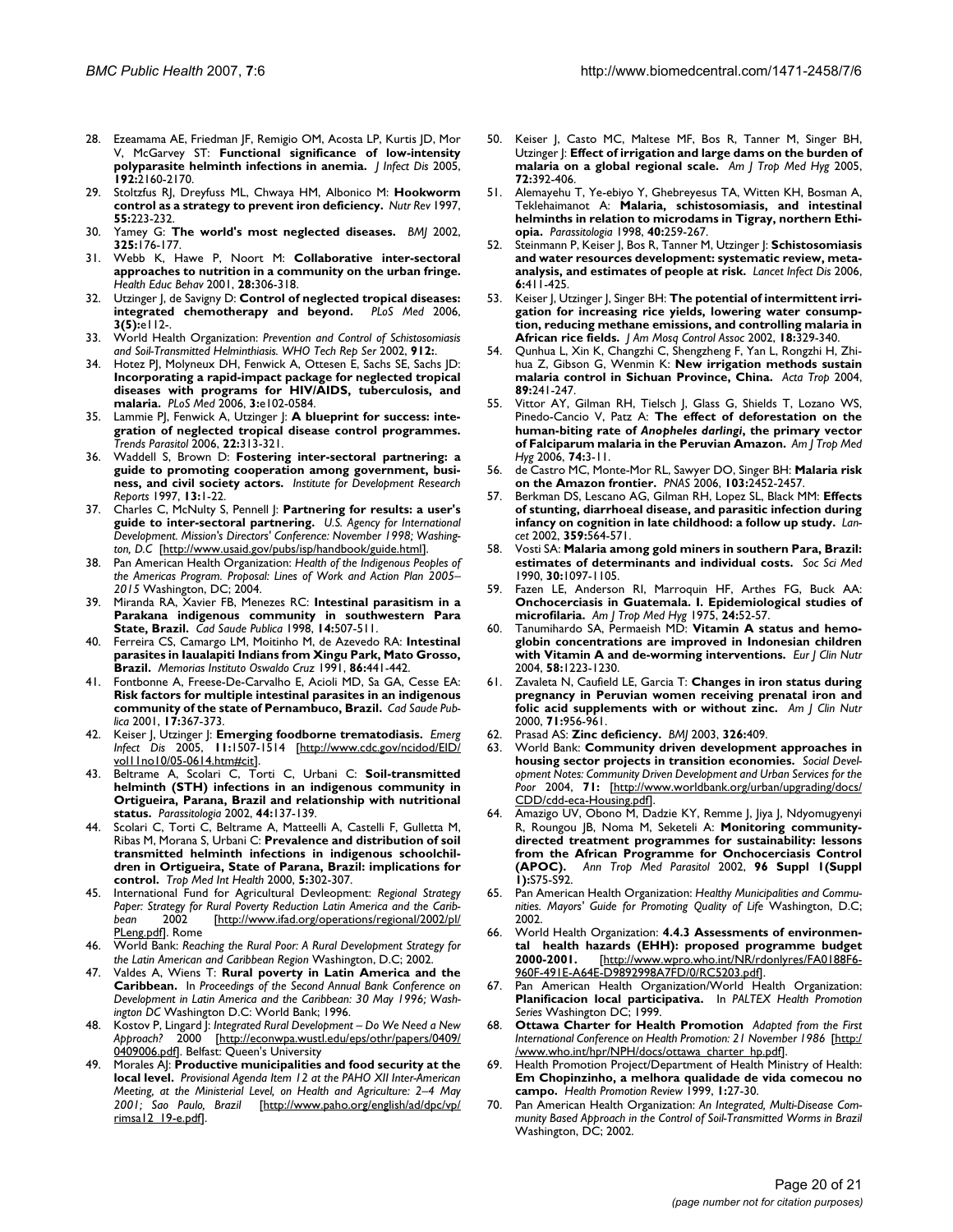- 28. Ezeamama AE, Friedman JF, Remigio OM, Acosta LP, Kurtis JD, Mor V, McGarvey ST: **[Functional significance of low-intensity](http://www.ncbi.nlm.nih.gov/entrez/query.fcgi?cmd=Retrieve&db=PubMed&dopt=Abstract&list_uids=16288383) [polyparasite helminth infections in anemia.](http://www.ncbi.nlm.nih.gov/entrez/query.fcgi?cmd=Retrieve&db=PubMed&dopt=Abstract&list_uids=16288383)** *J Infect Dis* 2005, **192:**2160-2170.
- 29. Stoltzfus RJ, Dreyfuss ML, Chwaya HM, Albonico M: **[Hookworm](http://www.ncbi.nlm.nih.gov/entrez/query.fcgi?cmd=Retrieve&db=PubMed&dopt=Abstract&list_uids=9279058) [control as a strategy to prevent iron deficiency.](http://www.ncbi.nlm.nih.gov/entrez/query.fcgi?cmd=Retrieve&db=PubMed&dopt=Abstract&list_uids=9279058)** *Nutr Rev* 1997, **55:**223-232.
- 30. Yamey G: **[The world's most neglected diseases.](http://www.ncbi.nlm.nih.gov/entrez/query.fcgi?cmd=Retrieve&db=PubMed&dopt=Abstract&list_uids=12142292)** *BMJ* 2002, **325:**176-177.
- 31. Webb K, Hawe P, Noort M: **[Collaborative inter-sectoral](http://www.ncbi.nlm.nih.gov/entrez/query.fcgi?cmd=Retrieve&db=PubMed&dopt=Abstract&list_uids=11380051) [approaches to nutrition in a community on the urban fringe.](http://www.ncbi.nlm.nih.gov/entrez/query.fcgi?cmd=Retrieve&db=PubMed&dopt=Abstract&list_uids=11380051)** *Health Educ Behav* 2001, **28:**306-318.
- 32. Utzinger J, de Savigny D: **[Control of neglected tropical diseases:](http://www.ncbi.nlm.nih.gov/entrez/query.fcgi?cmd=Retrieve&db=PubMed&dopt=Abstract&list_uids=16435910) [integrated chemotherapy and beyond.](http://www.ncbi.nlm.nih.gov/entrez/query.fcgi?cmd=Retrieve&db=PubMed&dopt=Abstract&list_uids=16435910)** *PLoS Med* 2006, **3(5):**e112-.
- 33. World Health Organization: *Prevention and Control of Schistosomiasis and Soil-Transmitted Helminthiasis. WHO Tech Rep Ser* 2002, **912:**.
- 34. Hotez PJ, Molyneux DH, Fenwick A, Ottesen E, Sachs SE, Sachs JD: **[Incorporating a rapid-impact package for neglected tropical](http://www.ncbi.nlm.nih.gov/entrez/query.fcgi?cmd=Retrieve&db=PubMed&dopt=Abstract&list_uids=16435908) diseases with programs for HIV/AIDS, tuberculosis, and [malaria.](http://www.ncbi.nlm.nih.gov/entrez/query.fcgi?cmd=Retrieve&db=PubMed&dopt=Abstract&list_uids=16435908)** *PLoS Med* 2006, **3:**e102-0584.
- 35. Lammie PJ, Fenwick A, Utzinger J: **[A blueprint for success: inte](http://www.ncbi.nlm.nih.gov/entrez/query.fcgi?cmd=Retrieve&db=PubMed&dopt=Abstract&list_uids=16713738)[gration of neglected tropical disease control programmes.](http://www.ncbi.nlm.nih.gov/entrez/query.fcgi?cmd=Retrieve&db=PubMed&dopt=Abstract&list_uids=16713738)** *Trends Parasitol* 2006, **22:**313-321.
- 36. Waddell S, Brown D: **Fostering inter-sectoral partnering: a guide to promoting cooperation among government, business, and civil society actors.** *Institute for Development Research Reports* 1997, **13:**1-22.
- 37. Charles C, McNulty S, Pennell J: **Partnering for results: a user's guide to inter-sectoral partnering.** *U.S. Agency for International Development. Mission's Directors' Conference: November 1998; Washington, D.C* [<http://www.usaid.gov/pubs/isp/handbook/guide.html>].
- 38. Pan American Health Organization: *Health of the Indigenous Peoples of the Americas Program. Proposal: Lines of Work and Action Plan 2005– 2015* Washington, DC; 2004.
- 39. Miranda RA, Xavier FB, Menezes RC: **[Intestinal parasitism in a](http://www.ncbi.nlm.nih.gov/entrez/query.fcgi?cmd=Retrieve&db=PubMed&dopt=Abstract&list_uids=9761604) [Parakana indigenous community in southwestern Para](http://www.ncbi.nlm.nih.gov/entrez/query.fcgi?cmd=Retrieve&db=PubMed&dopt=Abstract&list_uids=9761604) [State, Brazil.](http://www.ncbi.nlm.nih.gov/entrez/query.fcgi?cmd=Retrieve&db=PubMed&dopt=Abstract&list_uids=9761604)** *Cad Saude Publica* 1998, **14:**507-511.
- 40. Ferreira CS, Camargo LM, Moitinho M, de Azevedo RA: **Intestinal parasites in Iaualapiti Indians from Xingu Park, Mato Grosso, Brazil.** *Memorias Instituto Oswaldo Cruz* 1991, **86:**441-442.
- 41. Fontbonne A, Freese-De-Carvalho E, Acioli MD, Sa GA, Cesse EA: **[Risk factors for multiple intestinal parasites in an indigenous](http://www.ncbi.nlm.nih.gov/entrez/query.fcgi?cmd=Retrieve&db=PubMed&dopt=Abstract&list_uids=11283767) [community of the state of Pernambuco, Brazil.](http://www.ncbi.nlm.nih.gov/entrez/query.fcgi?cmd=Retrieve&db=PubMed&dopt=Abstract&list_uids=11283767)** *Cad Saude Publica* 2001, **17:**367-373.
- 42. Keiser J, Utzinger J: **[Emerging foodborne trematodiasis.](http://www.ncbi.nlm.nih.gov/entrez/query.fcgi?cmd=Retrieve&db=PubMed&dopt=Abstract&list_uids=16318688)** *Emerg Infect Dis* 2005, **11:**1507-1514 [[http://www.cdc.gov/ncidod/EID/](http://www.cdc.gov/ncidod/EID/vol11no10/05-0614.htm#cit) [vol11no10/05-0614.htm#cit](http://www.cdc.gov/ncidod/EID/vol11no10/05-0614.htm#cit)].
- 43. Beltrame A, Scolari C, Torti C, Urbani C: **[Soil-transmitted](http://www.ncbi.nlm.nih.gov/entrez/query.fcgi?cmd=Retrieve&db=PubMed&dopt=Abstract&list_uids=12701374) [helminth \(STH\) infections in an indigenous community in](http://www.ncbi.nlm.nih.gov/entrez/query.fcgi?cmd=Retrieve&db=PubMed&dopt=Abstract&list_uids=12701374) Ortigueira, Parana, Brazil and relationship with nutritional [status.](http://www.ncbi.nlm.nih.gov/entrez/query.fcgi?cmd=Retrieve&db=PubMed&dopt=Abstract&list_uids=12701374)** *Parassitologia* 2002, **44:**137-139.
- 44. Scolari C, Torti C, Beltrame A, Matteelli A, Castelli F, Gulletta M, Ribas M, Morana S, Urbani C: **[Prevalence and distribution of soil](http://www.ncbi.nlm.nih.gov/entrez/query.fcgi?cmd=Retrieve&db=PubMed&dopt=Abstract&list_uids=10810031) [transmitted helminth infections in indigenous schoolchil](http://www.ncbi.nlm.nih.gov/entrez/query.fcgi?cmd=Retrieve&db=PubMed&dopt=Abstract&list_uids=10810031)dren in Ortigueira, State of Parana, Brazil: implications for [control.](http://www.ncbi.nlm.nih.gov/entrez/query.fcgi?cmd=Retrieve&db=PubMed&dopt=Abstract&list_uids=10810031)** *Trop Med Int Health* 2000, **5:**302-307.
- 45. International Fund for Agricultural Devleopment: *Regional Strategy Paper: Strategy for Rural Poverty Reduction Latin America and the Caribbean* 2002 [\[http://www.ifad.org/operations/regional/2002/pl/](http://www.ifad.org/operations/regional/2002/pl/PLeng.pdf) [PLeng.pdf](http://www.ifad.org/operations/regional/2002/pl/PLeng.pdf)]. Rome
- 46. World Bank: *Reaching the Rural Poor: A Rural Development Strategy for the Latin American and Caribbean Region* Washington, D.C; 2002.
- 47. Valdes A, Wiens T: **Rural poverty in Latin America and the Caribbean.** In *Proceedings of the Second Annual Bank Conference on Development in Latin America and the Caribbean: 30 May 1996; Washington DC* Washington D.C: World Bank; 1996.
- 48. Kostov P, Lingard J: *Integrated Rural Development Do We Need a New Approach?* 2000 [\[http://econwpa.wustl.edu/eps/othr/papers/0409/](http://econwpa.wustl.edu/eps/othr/papers/0409/0409006.pdf) [0409006.pdf\]](http://econwpa.wustl.edu/eps/othr/papers/0409/0409006.pdf). Belfast: Queen's University
- 49. Morales AJ: **Productive municipalities and food security at the local level.** *Provisional Agenda Item 12 at the PAHO XII Inter-American Meeting, at the Ministerial Level, on Health and Agriculture: 2–4 May 2001; Sao Paulo, Brazil* [\[http://www.paho.org/english/ad/dpc/vp/](http://www.paho.org/english/ad/dpc/vp/rimsa12_19-e.pdf) [rimsa12\\_19-e.pdf\]](http://www.paho.org/english/ad/dpc/vp/rimsa12_19-e.pdf).
- 50. Keiser J, Casto MC, Maltese MF, Bos R, Tanner M, Singer BH, Utzinger J: **[Effect of irrigation and large dams on the burden of](http://www.ncbi.nlm.nih.gov/entrez/query.fcgi?cmd=Retrieve&db=PubMed&dopt=Abstract&list_uids=15827275) [malaria on a global regional scale.](http://www.ncbi.nlm.nih.gov/entrez/query.fcgi?cmd=Retrieve&db=PubMed&dopt=Abstract&list_uids=15827275)** *Am J Trop Med Hyg* 2005, **72:**392-406.
- 51. Alemayehu T, Ye-ebiyo Y, Ghebreyesus TA, Witten KH, Bosman A, Teklehaimanot A: **[Malaria, schistosomiasis, and intestinal](http://www.ncbi.nlm.nih.gov/entrez/query.fcgi?cmd=Retrieve&db=PubMed&dopt=Abstract&list_uids=10376281) [helminths in relation to microdams in Tigray, northern Ethi](http://www.ncbi.nlm.nih.gov/entrez/query.fcgi?cmd=Retrieve&db=PubMed&dopt=Abstract&list_uids=10376281)[opia.](http://www.ncbi.nlm.nih.gov/entrez/query.fcgi?cmd=Retrieve&db=PubMed&dopt=Abstract&list_uids=10376281)** *Parassitologia* 1998, **40:**259-267.
- 52. Steinmann P, Keiser J, Bos R, Tanner M, Utzinger J: **[Schistosomiasis](http://www.ncbi.nlm.nih.gov/entrez/query.fcgi?cmd=Retrieve&db=PubMed&dopt=Abstract&list_uids=16790382) [and water resources development: systematic review, meta](http://www.ncbi.nlm.nih.gov/entrez/query.fcgi?cmd=Retrieve&db=PubMed&dopt=Abstract&list_uids=16790382)[analysis, and estimates of people at risk.](http://www.ncbi.nlm.nih.gov/entrez/query.fcgi?cmd=Retrieve&db=PubMed&dopt=Abstract&list_uids=16790382)** *Lancet Infect Dis* 2006, **6:**411-425.
- 53. Keiser J, Utzinger J, Singer BH: **[The potential of intermittent irri](http://www.ncbi.nlm.nih.gov/entrez/query.fcgi?cmd=Retrieve&db=PubMed&dopt=Abstract&list_uids=12542191)[gation for increasing rice yields, lowering water consump](http://www.ncbi.nlm.nih.gov/entrez/query.fcgi?cmd=Retrieve&db=PubMed&dopt=Abstract&list_uids=12542191)tion, reducing methane emissions, and controlling malaria in [African rice fields.](http://www.ncbi.nlm.nih.gov/entrez/query.fcgi?cmd=Retrieve&db=PubMed&dopt=Abstract&list_uids=12542191)** *J Am Mosq Control Assoc* 2002, **18:**329-340.
- Qunhua L, Xin K, Changzhi C, Shengzheng F, Yan L, Rongzhi H, Zhihua Z, Gibson G, Wenmin K: **[New irrigation methods sustain](http://www.ncbi.nlm.nih.gov/entrez/query.fcgi?cmd=Retrieve&db=PubMed&dopt=Abstract&list_uids=14732245) [malaria control in Sichuan Province, China.](http://www.ncbi.nlm.nih.gov/entrez/query.fcgi?cmd=Retrieve&db=PubMed&dopt=Abstract&list_uids=14732245)** *Acta Trop* 2004, **89:**241-247.
- <span id="page-19-0"></span>55. Vittor AY, Gilman RH, Tielsch J, Glass G, Shields T, Lozano WS, Pinedo-Cancio V, Patz A: **The effect of deforestation on the human-biting rate of** *Anopheles darlingi***[, the primary vector](http://www.ncbi.nlm.nih.gov/entrez/query.fcgi?cmd=Retrieve&db=PubMed&dopt=Abstract&list_uids=16407338) [of Falciparum malaria in the Peruvian Amazon.](http://www.ncbi.nlm.nih.gov/entrez/query.fcgi?cmd=Retrieve&db=PubMed&dopt=Abstract&list_uids=16407338)** *Am J Trop Med Hyg* 2006, **74:**3-11.
- 56. de Castro MC, Monte-Mor RL, Sawyer DO, Singer BH: **[Malaria risk](http://www.ncbi.nlm.nih.gov/entrez/query.fcgi?cmd=Retrieve&db=PubMed&dopt=Abstract&list_uids=16461902) [on the Amazon frontier.](http://www.ncbi.nlm.nih.gov/entrez/query.fcgi?cmd=Retrieve&db=PubMed&dopt=Abstract&list_uids=16461902)** *PNAS* 2006, **103:**2452-2457.
- 57. Berkman DS, Lescano AG, Gilman RH, Lopez SL, Black MM: **[Effects](http://www.ncbi.nlm.nih.gov/entrez/query.fcgi?cmd=Retrieve&db=PubMed&dopt=Abstract&list_uids=11867110) [of stunting, diarrhoeal disease, and parasitic infection during](http://www.ncbi.nlm.nih.gov/entrez/query.fcgi?cmd=Retrieve&db=PubMed&dopt=Abstract&list_uids=11867110) [infancy on cognition in late childhood: a follow up study.](http://www.ncbi.nlm.nih.gov/entrez/query.fcgi?cmd=Retrieve&db=PubMed&dopt=Abstract&list_uids=11867110)** *Lancet* 2002, **359:**564-571.
- 58. Vosti SA: **[Malaria among gold miners in southern Para, Brazil:](http://www.ncbi.nlm.nih.gov/entrez/query.fcgi?cmd=Retrieve&db=PubMed&dopt=Abstract&list_uids=2363060) [estimates of determinants and individual costs.](http://www.ncbi.nlm.nih.gov/entrez/query.fcgi?cmd=Retrieve&db=PubMed&dopt=Abstract&list_uids=2363060)** *Soc Sci Med* 1990, **30:**1097-1105.
- 59. Fazen LE, Anderson RI, Marroquin HF, Arthes FG, Buck AA: **[Onchocerciasis in Guatemala. I. Epidemiological studies of](http://www.ncbi.nlm.nih.gov/entrez/query.fcgi?cmd=Retrieve&db=PubMed&dopt=Abstract&list_uids=1111355) [microfilaria.](http://www.ncbi.nlm.nih.gov/entrez/query.fcgi?cmd=Retrieve&db=PubMed&dopt=Abstract&list_uids=1111355)** *Am J Trop Med Hyg* 1975, **24:**52-57.
- 60. Tanumihardo SA, Permaeish MD: **[Vitamin A status and hemo](http://www.ncbi.nlm.nih.gov/entrez/query.fcgi?cmd=Retrieve&db=PubMed&dopt=Abstract&list_uids=15054437)[globin concentrations are improved in Indonesian children](http://www.ncbi.nlm.nih.gov/entrez/query.fcgi?cmd=Retrieve&db=PubMed&dopt=Abstract&list_uids=15054437) [with Vitamin A and de-worming interventions.](http://www.ncbi.nlm.nih.gov/entrez/query.fcgi?cmd=Retrieve&db=PubMed&dopt=Abstract&list_uids=15054437)** *Eur J Clin Nutr* 2004, **58:**1223-1230.
- 61. Zavaleta N, Caufield LE, Garcia T: **[Changes in iron status during](http://www.ncbi.nlm.nih.gov/entrez/query.fcgi?cmd=Retrieve&db=PubMed&dopt=Abstract&list_uids=10731503) [pregnancy in Peruvian women receiving prenatal iron and](http://www.ncbi.nlm.nih.gov/entrez/query.fcgi?cmd=Retrieve&db=PubMed&dopt=Abstract&list_uids=10731503) [folic acid supplements with or without zinc.](http://www.ncbi.nlm.nih.gov/entrez/query.fcgi?cmd=Retrieve&db=PubMed&dopt=Abstract&list_uids=10731503)** *Am J Clin Nutr* 2000, **71:**956-961.
- 62. Prasad AS: **[Zinc deficiency.](http://www.ncbi.nlm.nih.gov/entrez/query.fcgi?cmd=Retrieve&db=PubMed&dopt=Abstract&list_uids=12595353)** *BMJ* 2003, **326:**409.
- 63. World Bank: **Community driven development approaches in housing sector projects in transition economies.** *Social Development Notes: Community Driven Development and Urban Services for the Poor* 2004, **71:** [\[http://www.worldbank.org/urban/upgrading/docs/](http://www.worldbank.org/urban/upgrading/docs/CDD/cdd-eca-Housing.pdf) [CDD/cdd-eca-Housing.pdf\]](http://www.worldbank.org/urban/upgrading/docs/CDD/cdd-eca-Housing.pdf).
- 64. Amazigo UV, Obono M, Dadzie KY, Remme J, Jiya J, Ndyomugyenyi R, Roungou JB, Noma M, Seketeli A: **Monitoring communitydirected treatment programmes for sustainability: lessons from the African Programme for Onchocerciasis Control (APOC).** *Ann Trop Med Parasitol* 2002, **96 Suppl 1(Suppl 1):**S75-S92.
- 65. Pan American Health Organization: *Healthy Municipalities and Communities. Mayors' Guide for Promoting Quality of Life* Washington, D.C; 2002.
- 66. World Health Organization: **4.4.3 Assessments of environmental health hazards (EHH): proposed programme budget** [[http://www.wpro.who.int/NR/rdonlyres/FA0188F6-](http://www.wpro.who.int/NR/rdonlyres/FA0188F6-960F-491E-A64E-D9892998A7FD/0/RC5203.pdf) [960F-491E-A64E-D9892998A7FD/0/RC5203.pdf\]](http://www.wpro.who.int/NR/rdonlyres/FA0188F6-960F-491E-A64E-D9892998A7FD/0/RC5203.pdf).
- 67. Pan American Health Organization/World Health Organization: **Planificacion local participativa.** In *PALTEX Health Promotion Series* Washington DC; 1999.
- 68. **Ottawa Charter for Health Promotion** *Adapted from the First International Conference on Health Promotion: 21 November 1986* [[http:/](http://www.who.int/hpr/NPH/docs/ottawa_charter_hp.pdf) [/www.who.int/hpr/NPH/docs/ottawa\\_charter\\_hp.pdf\]](http://www.who.int/hpr/NPH/docs/ottawa_charter_hp.pdf).
- 69. Health Promotion Project/Department of Health Ministry of Health: **Em Chopinzinho, a melhora qualidade de vida comecou no campo.** *Health Promotion Review* 1999, **1:**27-30.
- Pan American Health Organization: An Integrated, Multi-Disease Com*munity Based Approach in the Control of Soil-Transmitted Worms in Brazil* Washington, DC; 2002.